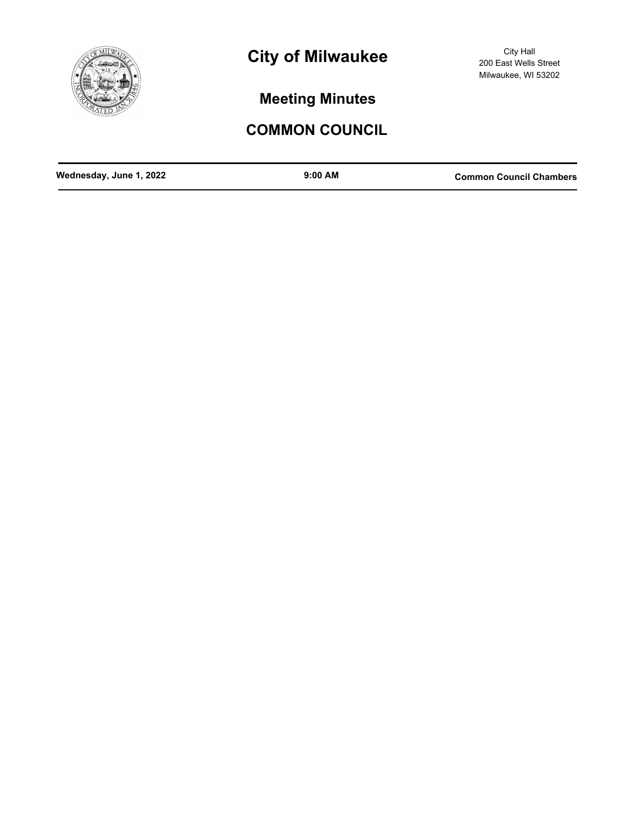

# **City of Milwaukee**

City Hall 200 East Wells Street Milwaukee, WI 53202

**Meeting Minutes**

## **COMMON COUNCIL**

| Wednesday, June 1, 2022 | $9:00$ AM | <b>Common Council Chambers</b> |
|-------------------------|-----------|--------------------------------|
|                         |           |                                |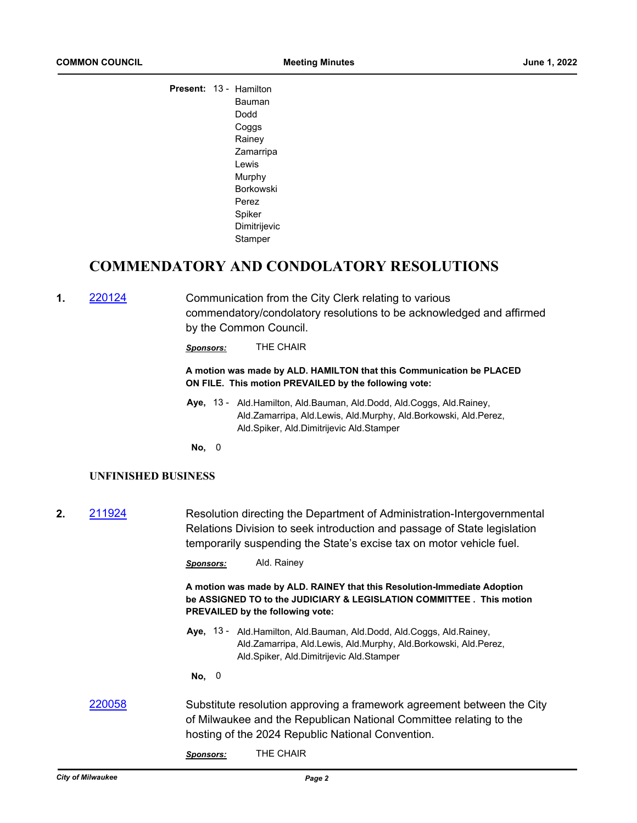| Present: 13 - Hamilton |                  |  |
|------------------------|------------------|--|
|                        | Bauman           |  |
|                        | Dodd             |  |
|                        | Coggs            |  |
|                        | Rainey           |  |
|                        | Zamarripa        |  |
|                        | I ewis           |  |
|                        | Murphy           |  |
|                        | <b>Borkowski</b> |  |
|                        | Perez            |  |
|                        | Spiker           |  |
|                        | Dimitrijevic     |  |
|                        | Stamper          |  |
|                        |                  |  |

## **COMMENDATORY AND CONDOLATORY RESOLUTIONS**

**1.** [220124](http://milwaukee.legistar.com/gateway.aspx?m=l&id=/matter.aspx?key=62193) Communication from the City Clerk relating to various commendatory/condolatory resolutions to be acknowledged and affirmed by the Common Council.

*Sponsors:* THE CHAIR

#### **A motion was made by ALD. HAMILTON that this Communication be PLACED ON FILE. This motion PREVAILED by the following vote:**

Aye, 13 - Ald.Hamilton, Ald.Bauman, Ald.Dodd, Ald.Coggs, Ald.Rainey, Ald.Zamarripa, Ald.Lewis, Ald.Murphy, Ald.Borkowski, Ald.Perez, Ald.Spiker, Ald.Dimitrijevic Ald.Stamper

**No,** 0

## **UNFINISHED BUSINESS**

**2.** [211924](http://milwaukee.legistar.com/gateway.aspx?m=l&id=/matter.aspx?key=61787) Resolution directing the Department of Administration-Intergovernmental Relations Division to seek introduction and passage of State legislation temporarily suspending the State's excise tax on motor vehicle fuel.

*Sponsors:* Ald. Rainey

**A motion was made by ALD. RAINEY that this Resolution-Immediate Adoption be ASSIGNED TO to the JUDICIARY & LEGISLATION COMMITTEE . This motion PREVAILED by the following vote:**

Aye, 13 - Ald.Hamilton, Ald.Bauman, Ald.Dodd, Ald.Coggs, Ald.Rainey, Ald.Zamarripa, Ald.Lewis, Ald.Murphy, Ald.Borkowski, Ald.Perez, Ald.Spiker, Ald.Dimitrijevic Ald.Stamper

**No,** 0

- [220058](http://milwaukee.legistar.com/gateway.aspx?m=l&id=/matter.aspx?key=62083) Substitute resolution approving a framework agreement between the City of Milwaukee and the Republican National Committee relating to the hosting of the 2024 Republic National Convention.
	- *Sponsors:* THE CHAIR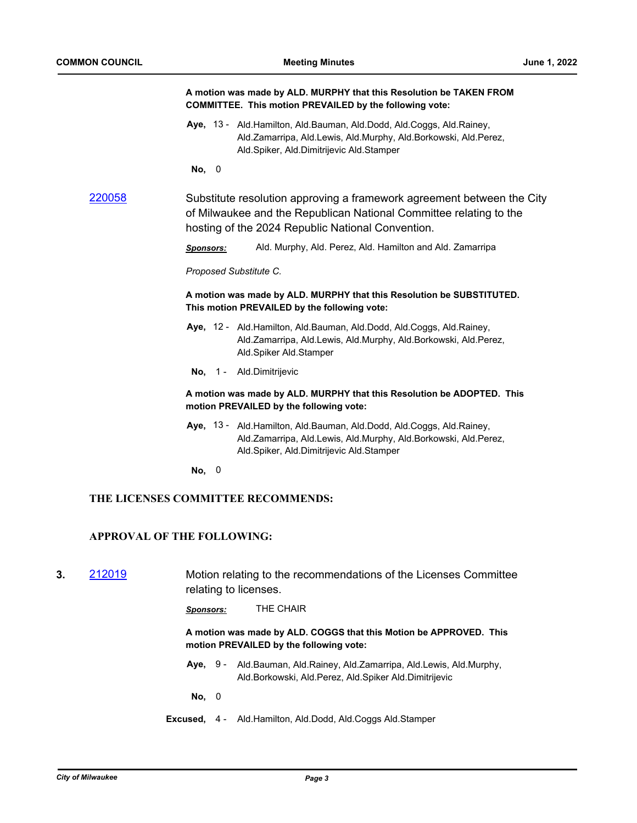**COMMITTEE. This motion PREVAILED by the following vote:**

**A motion was made by ALD. MURPHY that this Resolution be TAKEN FROM** 

|        | Aye, 13 - Ald. Hamilton, Ald. Bauman, Ald. Dodd, Ald. Coggs, Ald. Rainey,<br>Ald.Zamarripa, Ald.Lewis, Ald.Murphy, Ald.Borkowski, Ald.Perez,<br>Ald.Spiker, Ald.Dimitrijevic Ald.Stamper<br>No, 0 |  |
|--------|---------------------------------------------------------------------------------------------------------------------------------------------------------------------------------------------------|--|
|        |                                                                                                                                                                                                   |  |
| 220058 | Substitute resolution approving a framework agreement between the City<br>of Milwaukee and the Republican National Committee relating to the<br>hosting of the 2024 Republic National Convention. |  |
|        | Ald. Murphy, Ald. Perez, Ald. Hamilton and Ald. Zamarripa<br><b>Sponsors:</b>                                                                                                                     |  |
|        | Proposed Substitute C.                                                                                                                                                                            |  |
|        | A motion was made by ALD. MURPHY that this Resolution be SUBSTITUTED.<br>This motion PREVAILED by the following vote:                                                                             |  |
|        | Aye, 12 - Ald.Hamilton, Ald.Bauman, Ald.Dodd, Ald.Coggs, Ald.Rainey,<br>Ald.Zamarripa, Ald.Lewis, Ald.Murphy, Ald.Borkowski, Ald.Perez,<br>Ald.Spiker Ald.Stamper                                 |  |
|        | No, 1 - Ald.Dimitrijevic                                                                                                                                                                          |  |
|        | A motion was made by ALD. MURPHY that this Resolution be ADOPTED. This<br>motion PREVAILED by the following vote:                                                                                 |  |
|        | Aye, 13 - Ald. Hamilton, Ald. Bauman, Ald. Dodd, Ald. Coggs, Ald. Rainey,<br>Ald.Zamarripa, Ald.Lewis, Ald.Murphy, Ald.Borkowski, Ald.Perez,<br>Ald.Spiker, Ald.Dimitrijevic Ald.Stamper          |  |
|        | No, 0                                                                                                                                                                                             |  |
|        | THE LICENSES COMMITTEE RECOMMENDS:                                                                                                                                                                |  |
|        | <b>APPROVAL OF THE FOLLOWING:</b>                                                                                                                                                                 |  |

**3.** [212019](http://milwaukee.legistar.com/gateway.aspx?m=l&id=/matter.aspx?key=61767) Motion relating to the recommendations of the Licenses Committee relating to licenses.

*Sponsors:* THE CHAIR

**A motion was made by ALD. COGGS that this Motion be APPROVED. This motion PREVAILED by the following vote:**

Aye, 9 - Ald.Bauman, Ald.Rainey, Ald.Zamarripa, Ald.Lewis, Ald.Murphy, Ald.Borkowski, Ald.Perez, Ald.Spiker Ald.Dimitrijevic

**No,** 0

**Excused,** 4 - Ald.Hamilton, Ald.Dodd, Ald.Coggs Ald.Stamper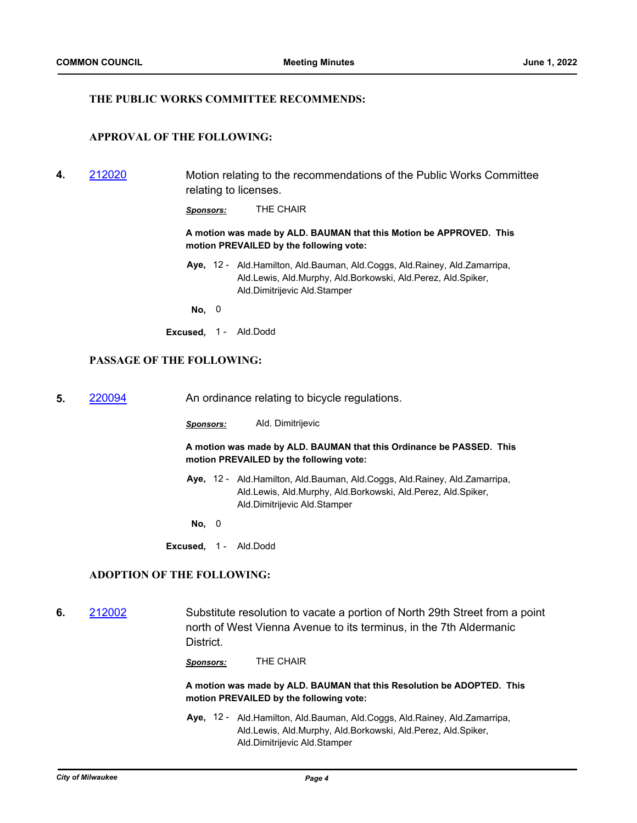#### **THE PUBLIC WORKS COMMITTEE RECOMMENDS:**

### **APPROVAL OF THE FOLLOWING:**

**4.** [212020](http://milwaukee.legistar.com/gateway.aspx?m=l&id=/matter.aspx?key=61768) Motion relating to the recommendations of the Public Works Committee relating to licenses.

*Sponsors:* THE CHAIR

**A motion was made by ALD. BAUMAN that this Motion be APPROVED. This motion PREVAILED by the following vote:**

- Aye, 12 Ald.Hamilton, Ald.Bauman, Ald.Coggs, Ald.Rainey, Ald.Zamarripa, Ald.Lewis, Ald.Murphy, Ald.Borkowski, Ald.Perez, Ald.Spiker, Ald.Dimitrijevic Ald.Stamper
- **No,** 0
- **Excused,** 1 Ald.Dodd

## **PASSAGE OF THE FOLLOWING:**

- **5. [220094](http://milwaukee.legistar.com/gateway.aspx?m=l&id=/matter.aspx?key=62121)** An ordinance relating to bicycle regulations.
	- *Sponsors:* Ald. Dimitrijevic

**A motion was made by ALD. BAUMAN that this Ordinance be PASSED. This motion PREVAILED by the following vote:**

- Aye, 12 Ald.Hamilton, Ald.Bauman, Ald.Coggs, Ald.Rainey, Ald.Zamarripa, Ald.Lewis, Ald.Murphy, Ald.Borkowski, Ald.Perez, Ald.Spiker, Ald.Dimitrijevic Ald.Stamper
- **No,** 0
- **Excused,** 1 Ald.Dodd

## **ADOPTION OF THE FOLLOWING:**

**6.** [212002](http://milwaukee.legistar.com/gateway.aspx?m=l&id=/matter.aspx?key=61933) Substitute resolution to vacate a portion of North 29th Street from a point north of West Vienna Avenue to its terminus, in the 7th Aldermanic **District** 

*Sponsors:* THE CHAIR

**A motion was made by ALD. BAUMAN that this Resolution be ADOPTED. This motion PREVAILED by the following vote:**

Aye, 12 - Ald.Hamilton, Ald.Bauman, Ald.Coggs, Ald.Rainey, Ald.Zamarripa, Ald.Lewis, Ald.Murphy, Ald.Borkowski, Ald.Perez, Ald.Spiker, Ald.Dimitrijevic Ald.Stamper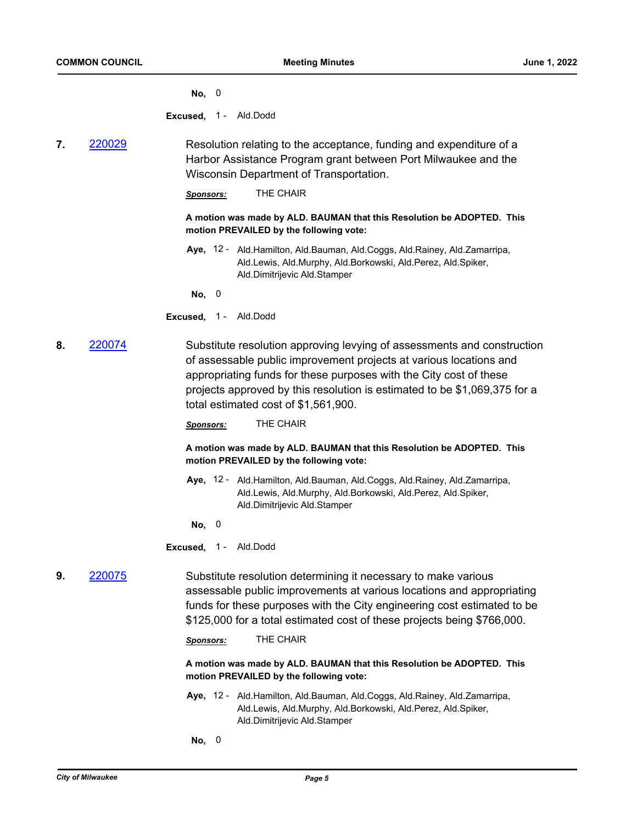**No,** 0

**Excused,** 1 - Ald.Dodd

**7.** [220029](http://milwaukee.legistar.com/gateway.aspx?m=l&id=/matter.aspx?key=62026) Resolution relating to the acceptance, funding and expenditure of a Harbor Assistance Program grant between Port Milwaukee and the Wisconsin Department of Transportation.

*Sponsors:* THE CHAIR

#### **A motion was made by ALD. BAUMAN that this Resolution be ADOPTED. This motion PREVAILED by the following vote:**

Aye, 12 - Ald.Hamilton, Ald.Bauman, Ald.Coggs, Ald.Rainey, Ald.Zamarripa, Ald.Lewis, Ald.Murphy, Ald.Borkowski, Ald.Perez, Ald.Spiker, Ald.Dimitrijevic Ald.Stamper

**No,** 0

- **Excused,** 1 Ald.Dodd
- **8.** [220074](http://milwaukee.legistar.com/gateway.aspx?m=l&id=/matter.aspx?key=62101) Substitute resolution approving levying of assessments and construction of assessable public improvement projects at various locations and appropriating funds for these purposes with the City cost of these projects approved by this resolution is estimated to be \$1,069,375 for a total estimated cost of \$1,561,900.

*Sponsors:* THE CHAIR

**A motion was made by ALD. BAUMAN that this Resolution be ADOPTED. This motion PREVAILED by the following vote:**

Aye, 12 - Ald.Hamilton, Ald.Bauman, Ald.Coggs, Ald.Rainey, Ald.Zamarripa, Ald.Lewis, Ald.Murphy, Ald.Borkowski, Ald.Perez, Ald.Spiker, Ald.Dimitrijevic Ald.Stamper

**No,** 0

**Excused,** 1 - Ald.Dodd

**9.** [220075](http://milwaukee.legistar.com/gateway.aspx?m=l&id=/matter.aspx?key=62102) Substitute resolution determining it necessary to make various assessable public improvements at various locations and appropriating funds for these purposes with the City engineering cost estimated to be \$125,000 for a total estimated cost of these projects being \$766,000.

*Sponsors:* THE CHAIR

**A motion was made by ALD. BAUMAN that this Resolution be ADOPTED. This motion PREVAILED by the following vote:**

- Aye, 12 Ald.Hamilton, Ald.Bauman, Ald.Coggs, Ald.Rainey, Ald.Zamarripa, Ald.Lewis, Ald.Murphy, Ald.Borkowski, Ald.Perez, Ald.Spiker, Ald.Dimitrijevic Ald.Stamper
- **No,** 0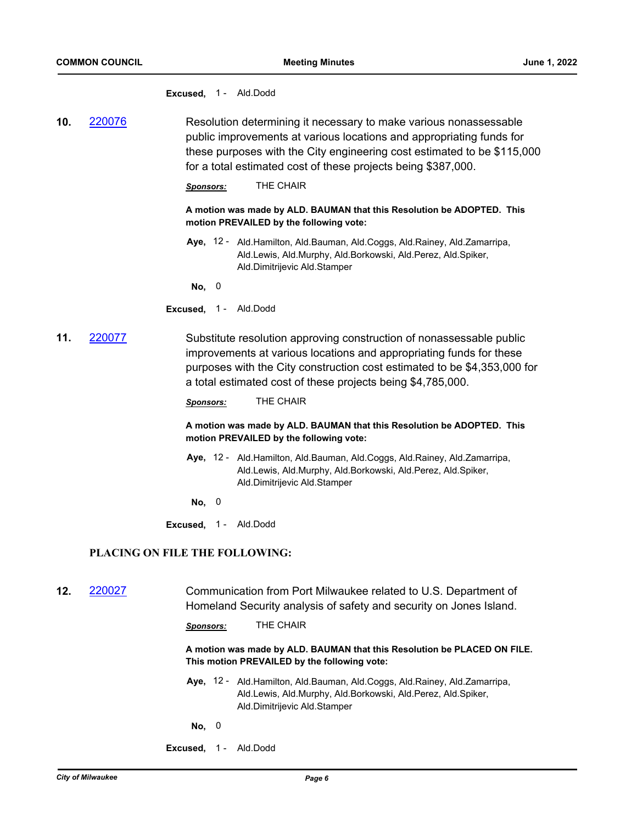**Excused,** 1 - Ald.Dodd

**10.** [220076](http://milwaukee.legistar.com/gateway.aspx?m=l&id=/matter.aspx?key=62103) Resolution determining it necessary to make various nonassessable public improvements at various locations and appropriating funds for these purposes with the City engineering cost estimated to be \$115,000 for a total estimated cost of these projects being \$387,000.

*Sponsors:* THE CHAIR

**A motion was made by ALD. BAUMAN that this Resolution be ADOPTED. This motion PREVAILED by the following vote:**

Aye, 12 - Ald.Hamilton, Ald.Bauman, Ald.Coggs, Ald.Rainey, Ald.Zamarripa, Ald.Lewis, Ald.Murphy, Ald.Borkowski, Ald.Perez, Ald.Spiker, Ald.Dimitrijevic Ald.Stamper

**No,** 0

- **Excused,** 1 Ald.Dodd
- **11.** [220077](http://milwaukee.legistar.com/gateway.aspx?m=l&id=/matter.aspx?key=62104) Substitute resolution approving construction of nonassessable public improvements at various locations and appropriating funds for these purposes with the City construction cost estimated to be \$4,353,000 for a total estimated cost of these projects being \$4,785,000.

*Sponsors:* THE CHAIR

#### **A motion was made by ALD. BAUMAN that this Resolution be ADOPTED. This motion PREVAILED by the following vote:**

- Aye, 12 Ald.Hamilton, Ald.Bauman, Ald.Coggs, Ald.Rainey, Ald.Zamarripa, Ald.Lewis, Ald.Murphy, Ald.Borkowski, Ald.Perez, Ald.Spiker, Ald.Dimitrijevic Ald.Stamper
- **No,** 0
- **Excused,** 1 Ald.Dodd

#### **PLACING ON FILE THE FOLLOWING:**

**12.** [220027](http://milwaukee.legistar.com/gateway.aspx?m=l&id=/matter.aspx?key=62024) Communication from Port Milwaukee related to U.S. Department of Homeland Security analysis of safety and security on Jones Island.

*Sponsors:* THE CHAIR

**A motion was made by ALD. BAUMAN that this Resolution be PLACED ON FILE. This motion PREVAILED by the following vote:**

- Aye, 12 Ald.Hamilton, Ald.Bauman, Ald.Coggs, Ald.Rainey, Ald.Zamarripa, Ald.Lewis, Ald.Murphy, Ald.Borkowski, Ald.Perez, Ald.Spiker, Ald.Dimitrijevic Ald.Stamper
- **No,** 0
- **Excused,** 1 Ald.Dodd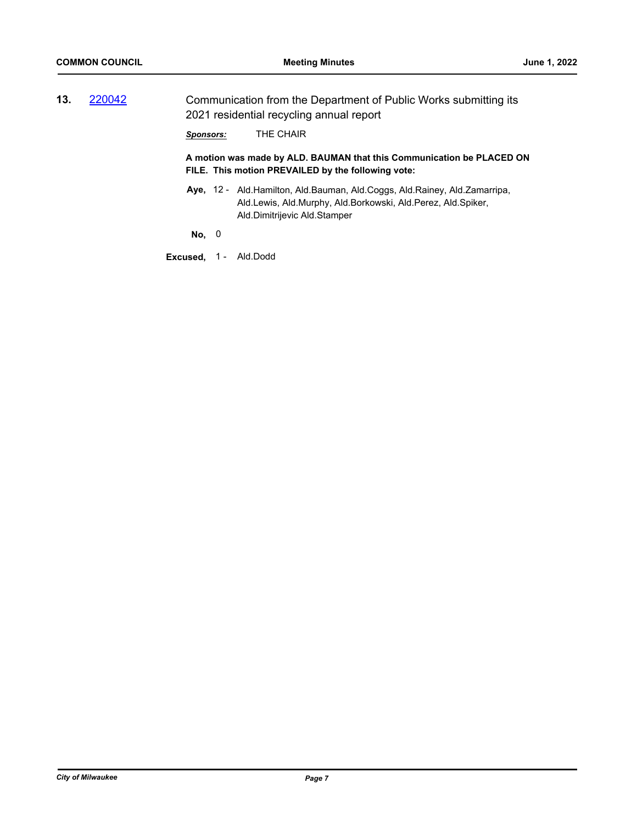**13.** [220042](http://milwaukee.legistar.com/gateway.aspx?m=l&id=/matter.aspx?key=62067) Communication from the Department of Public Works submitting its 2021 residential recycling annual report

*Sponsors:* THE CHAIR

**A motion was made by ALD. BAUMAN that this Communication be PLACED ON FILE. This motion PREVAILED by the following vote:**

Aye, 12 - Ald.Hamilton, Ald.Bauman, Ald.Coggs, Ald.Rainey, Ald.Zamarripa, Ald.Lewis, Ald.Murphy, Ald.Borkowski, Ald.Perez, Ald.Spiker, Ald.Dimitrijevic Ald.Stamper

**No,** 0

**Excused,** 1 - Ald.Dodd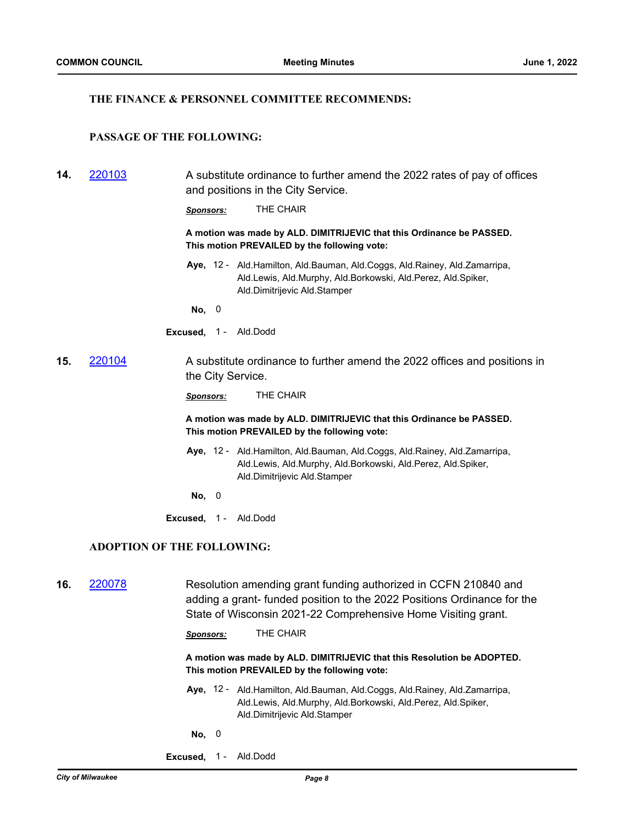#### **THE FINANCE & PERSONNEL COMMITTEE RECOMMENDS:**

## **PASSAGE OF THE FOLLOWING:**

**14.** [220103](http://milwaukee.legistar.com/gateway.aspx?m=l&id=/matter.aspx?key=62129) A substitute ordinance to further amend the 2022 rates of pay of offices and positions in the City Service.

*Sponsors:* THE CHAIR

**A motion was made by ALD. DIMITRIJEVIC that this Ordinance be PASSED. This motion PREVAILED by the following vote:**

Aye, 12 - Ald.Hamilton, Ald.Bauman, Ald.Coggs, Ald.Rainey, Ald.Zamarripa, Ald.Lewis, Ald.Murphy, Ald.Borkowski, Ald.Perez, Ald.Spiker, Ald.Dimitrijevic Ald.Stamper

**No,** 0

**Excused,** 1 - Ald.Dodd

**15.** [220104](http://milwaukee.legistar.com/gateway.aspx?m=l&id=/matter.aspx?key=62130) A substitute ordinance to further amend the 2022 offices and positions in the City Service.

*Sponsors:* THE CHAIR

**A motion was made by ALD. DIMITRIJEVIC that this Ordinance be PASSED. This motion PREVAILED by the following vote:**

Aye, 12 - Ald.Hamilton, Ald.Bauman, Ald.Coggs, Ald.Rainey, Ald.Zamarripa, Ald.Lewis, Ald.Murphy, Ald.Borkowski, Ald.Perez, Ald.Spiker, Ald.Dimitrijevic Ald.Stamper

**No,** 0

**Excused,** 1 - Ald.Dodd

#### **ADOPTION OF THE FOLLOWING:**

**16.** [220078](http://milwaukee.legistar.com/gateway.aspx?m=l&id=/matter.aspx?key=62162) Resolution amending grant funding authorized in CCFN 210840 and adding a grant- funded position to the 2022 Positions Ordinance for the State of Wisconsin 2021-22 Comprehensive Home Visiting grant.

*Sponsors:* THE CHAIR

**A motion was made by ALD. DIMITRIJEVIC that this Resolution be ADOPTED. This motion PREVAILED by the following vote:**

- Aye, 12 Ald.Hamilton, Ald.Bauman, Ald.Coggs, Ald.Rainey, Ald.Zamarripa, Ald.Lewis, Ald.Murphy, Ald.Borkowski, Ald.Perez, Ald.Spiker, Ald.Dimitrijevic Ald.Stamper
- **No,** 0
- **Excused,** 1 Ald.Dodd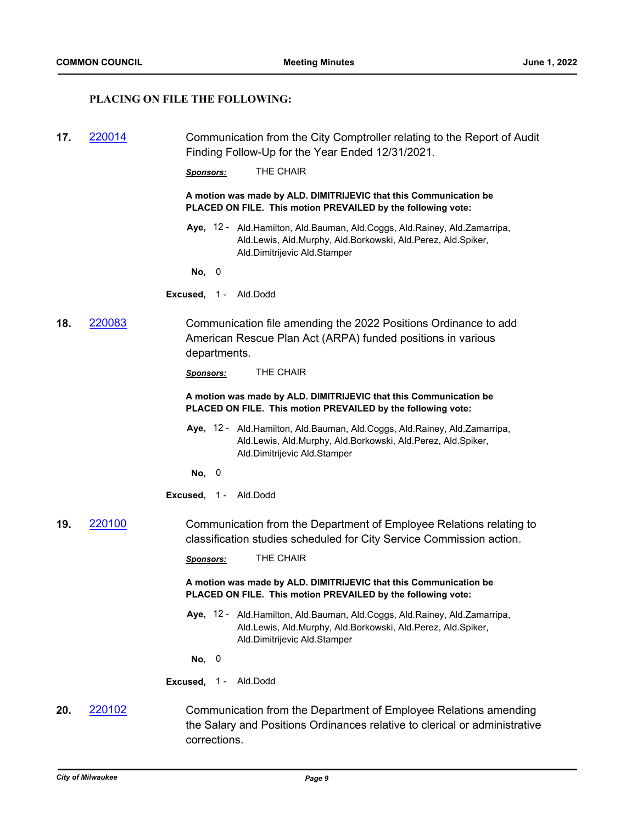## **PLACING ON FILE THE FOLLOWING:**

| 17. | 220014        | Communication from the City Comptroller relating to the Report of Audit<br>Finding Follow-Up for the Year Ended 12/31/2021.                                                    |
|-----|---------------|--------------------------------------------------------------------------------------------------------------------------------------------------------------------------------|
|     |               | THE CHAIR<br><u>Sponsors:</u>                                                                                                                                                  |
|     |               | A motion was made by ALD. DIMITRIJEVIC that this Communication be<br>PLACED ON FILE. This motion PREVAILED by the following vote:                                              |
|     |               | Aye, 12 - Ald. Hamilton, Ald. Bauman, Ald. Coggs, Ald. Rainey, Ald. Zamarripa,<br>Ald.Lewis, Ald.Murphy, Ald.Borkowski, Ald.Perez, Ald.Spiker,<br>Ald.Dimitrijevic Ald.Stamper |
|     |               | No, 0                                                                                                                                                                          |
|     |               | Excused, 1 - Ald.Dodd                                                                                                                                                          |
| 18. | <u>220083</u> | Communication file amending the 2022 Positions Ordinance to add<br>American Rescue Plan Act (ARPA) funded positions in various<br>departments.                                 |
|     |               | THE CHAIR<br><b>Sponsors:</b>                                                                                                                                                  |
|     |               | A motion was made by ALD. DIMITRIJEVIC that this Communication be<br>PLACED ON FILE. This motion PREVAILED by the following vote:                                              |
|     |               | Aye, 12 - Ald.Hamilton, Ald.Bauman, Ald.Coggs, Ald.Rainey, Ald.Zamarripa,<br>Ald.Lewis, Ald.Murphy, Ald.Borkowski, Ald.Perez, Ald.Spiker,<br>Ald.Dimitrijevic Ald.Stamper      |
|     |               | No, 0                                                                                                                                                                          |
|     |               | <b>Excused, 1 - Ald.Dodd</b>                                                                                                                                                   |
| 19. | 220100        | Communication from the Department of Employee Relations relating to<br>classification studies scheduled for City Service Commission action.                                    |
|     |               | THE CHAIR<br><b>Sponsors:</b>                                                                                                                                                  |
|     |               | A motion was made by ALD. DIMITRIJEVIC that this Communication be<br>PLACED ON FILE. This motion PREVAILED by the following vote:                                              |
|     |               | Aye, 12 - Ald. Hamilton, Ald. Bauman, Ald. Coggs, Ald. Rainey, Ald. Zamarripa,<br>Ald.Lewis, Ald.Murphy, Ald.Borkowski, Ald.Perez, Ald.Spiker,<br>Ald.Dimitrijevic Ald.Stamper |
|     |               | No, 0                                                                                                                                                                          |
|     |               | Excused, 1-<br>Ald.Dodd                                                                                                                                                        |
| 20. | 220102        | Communication from the Department of Employee Relations amending<br>the Salary and Positions Ordinances relative to clerical or administrative                                 |

corrections.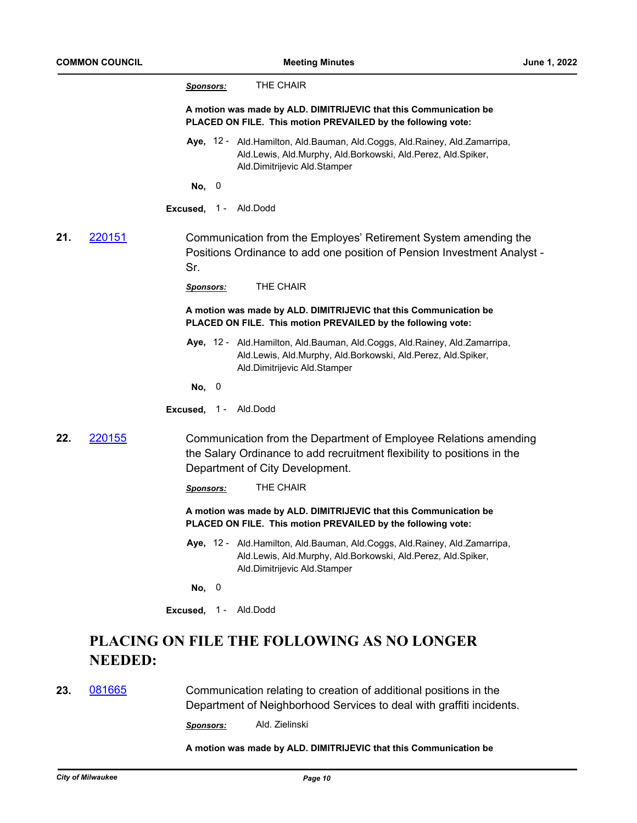|     |                | THE CHAIR<br><u>Sponsors:</u>                                                                                                                                                  |
|-----|----------------|--------------------------------------------------------------------------------------------------------------------------------------------------------------------------------|
|     |                | A motion was made by ALD. DIMITRIJEVIC that this Communication be<br>PLACED ON FILE. This motion PREVAILED by the following vote:                                              |
|     |                | Aye, 12 - Ald.Hamilton, Ald.Bauman, Ald.Coggs, Ald.Rainey, Ald.Zamarripa,<br>Ald.Lewis, Ald.Murphy, Ald.Borkowski, Ald.Perez, Ald.Spiker,<br>Ald.Dimitrijevic Ald.Stamper      |
|     |                | No, 0                                                                                                                                                                          |
|     |                | Excused, 1 - Ald.Dodd                                                                                                                                                          |
| 21. | 220151         | Communication from the Employes' Retirement System amending the<br>Positions Ordinance to add one position of Pension Investment Analyst -<br>Sr.                              |
|     |                | THE CHAIR<br><b>Sponsors:</b>                                                                                                                                                  |
|     |                | A motion was made by ALD. DIMITRIJEVIC that this Communication be<br>PLACED ON FILE. This motion PREVAILED by the following vote:                                              |
|     |                | Aye, 12 - Ald. Hamilton, Ald. Bauman, Ald. Coggs, Ald. Rainey, Ald. Zamarripa,<br>Ald.Lewis, Ald.Murphy, Ald.Borkowski, Ald.Perez, Ald.Spiker,<br>Ald.Dimitrijevic Ald.Stamper |
|     |                | No, 0                                                                                                                                                                          |
|     |                | Excused, 1 - Ald.Dodd                                                                                                                                                          |
| 22. | 220155         | Communication from the Department of Employee Relations amending<br>the Salary Ordinance to add recruitment flexibility to positions in the<br>Department of City Development. |
|     |                | THE CHAIR<br><b>Sponsors:</b>                                                                                                                                                  |
|     |                | A motion was made by ALD. DIMITRIJEVIC that this Communication be<br>PLACED ON FILE. This motion PREVAILED by the following vote:                                              |
|     |                | Aye, 12 - Ald.Hamilton, Ald.Bauman, Ald.Coggs, Ald.Rainey, Ald.Zamarripa,<br>Ald.Lewis, Ald.Murphy, Ald.Borkowski, Ald.Perez, Ald.Spiker,<br>Ald.Dimitrijevic Ald.Stamper      |
|     |                | No, $0$                                                                                                                                                                        |
|     |                | Excused, 1 - Ald.Dodd                                                                                                                                                          |
|     |                | PLACING ON FILE THE FOLLOWING AS NO LONGER                                                                                                                                     |
|     | <b>NEEDED:</b> |                                                                                                                                                                                |

**23.** [081665](http://milwaukee.legistar.com/gateway.aspx?m=l&id=/matter.aspx?key=29057) Communication relating to creation of additional positions in the Department of Neighborhood Services to deal with graffiti incidents.

*Sponsors:* Ald. Zielinski

**A motion was made by ALD. DIMITRIJEVIC that this Communication be**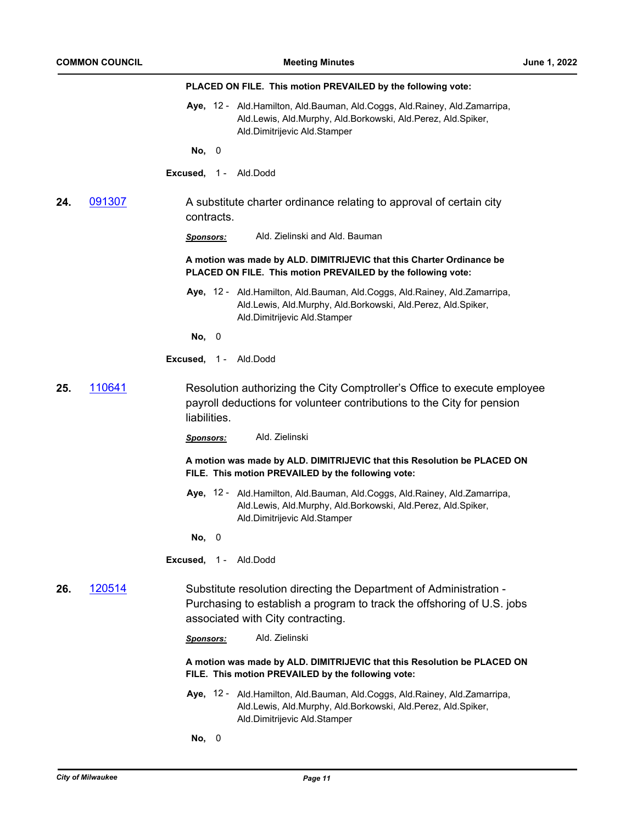|     |        | PLACED ON FILE. This motion PREVAILED by the following vote:                                                                                                                      |
|-----|--------|-----------------------------------------------------------------------------------------------------------------------------------------------------------------------------------|
|     |        | Aye, 12 - Ald. Hamilton, Ald. Bauman, Ald. Coggs, Ald. Rainey, Ald. Zamarripa,<br>Ald.Lewis, Ald.Murphy, Ald.Borkowski, Ald.Perez, Ald.Spiker,<br>Ald.Dimitrijevic Ald.Stamper    |
|     |        | No, 0                                                                                                                                                                             |
|     |        | <b>Excused, 1 - Ald.Dodd</b>                                                                                                                                                      |
| 24. | 091307 | A substitute charter ordinance relating to approval of certain city<br>contracts.                                                                                                 |
|     |        | Ald. Zielinski and Ald. Bauman<br><u>Sponsors:</u>                                                                                                                                |
|     |        | A motion was made by ALD. DIMITRIJEVIC that this Charter Ordinance be<br>PLACED ON FILE. This motion PREVAILED by the following vote:                                             |
|     |        | Aye, 12 - Ald. Hamilton, Ald. Bauman, Ald. Coggs, Ald. Rainey, Ald. Zamarripa,<br>Ald.Lewis, Ald.Murphy, Ald.Borkowski, Ald.Perez, Ald.Spiker,<br>Ald.Dimitrijevic Ald.Stamper    |
|     |        | No, 0                                                                                                                                                                             |
|     |        | <b>Excused, 1 - Ald.Dodd</b>                                                                                                                                                      |
| 25. | 110641 | Resolution authorizing the City Comptroller's Office to execute employee<br>payroll deductions for volunteer contributions to the City for pension<br>liabilities.                |
|     |        | Ald. Zielinski<br><u>Sponsors:</u>                                                                                                                                                |
|     |        | A motion was made by ALD. DIMITRIJEVIC that this Resolution be PLACED ON<br>FILE. This motion PREVAILED by the following vote:                                                    |
|     |        | Aye, 12 - Ald. Hamilton, Ald. Bauman, Ald. Coggs, Ald. Rainey, Ald. Zamarripa,<br>Ald.Lewis, Ald.Murphy, Ald.Borkowski, Ald.Perez, Ald.Spiker,<br>Ald.Dimitrijevic Ald.Stamper    |
|     |        | No, 0                                                                                                                                                                             |
|     |        | <b>Excused, 1 - Ald.Dodd</b>                                                                                                                                                      |
| 26. | 120514 | Substitute resolution directing the Department of Administration -<br>Purchasing to establish a program to track the offshoring of U.S. jobs<br>associated with City contracting. |
|     |        | Ald. Zielinski<br><b>Sponsors:</b>                                                                                                                                                |
|     |        | A motion was made by ALD. DIMITRIJEVIC that this Resolution be PLACED ON<br>FILE. This motion PREVAILED by the following vote:                                                    |
|     |        | Aye, 12 - Ald. Hamilton, Ald. Bauman, Ald. Coggs, Ald. Rainey, Ald. Zamarripa,<br>Ald.Lewis, Ald.Murphy, Ald.Borkowski, Ald.Perez, Ald.Spiker,<br>Ald.Dimitrijevic Ald.Stamper    |
|     |        | No, 0                                                                                                                                                                             |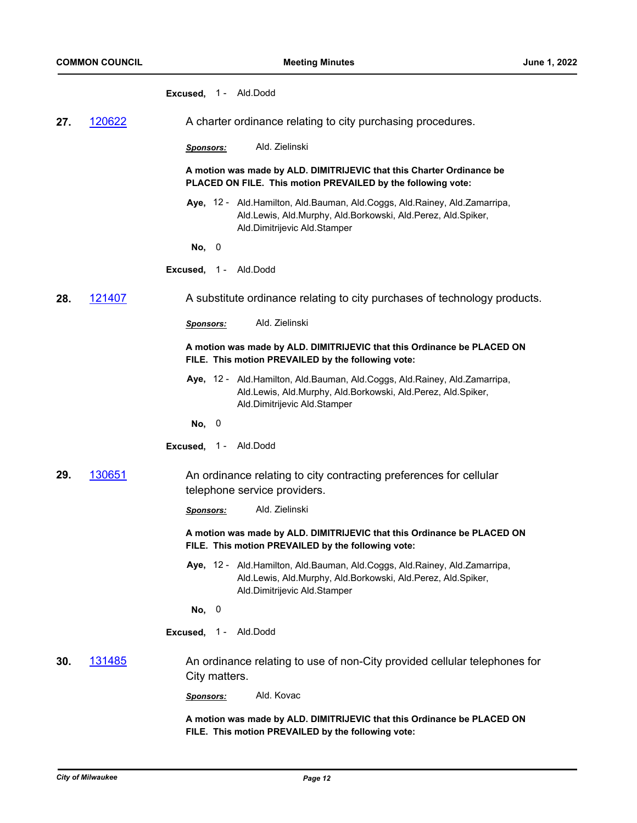|     |        | <b>Excused, 1 - Ald.Dodd</b>                                                                                                                                                   |
|-----|--------|--------------------------------------------------------------------------------------------------------------------------------------------------------------------------------|
| 27. | 120622 | A charter ordinance relating to city purchasing procedures.                                                                                                                    |
|     |        | Ald. Zielinski<br><b>Sponsors:</b>                                                                                                                                             |
|     |        | A motion was made by ALD. DIMITRIJEVIC that this Charter Ordinance be<br>PLACED ON FILE. This motion PREVAILED by the following vote:                                          |
|     |        | Aye, 12 - Ald. Hamilton, Ald. Bauman, Ald. Coggs, Ald. Rainey, Ald. Zamarripa,<br>Ald.Lewis, Ald.Murphy, Ald.Borkowski, Ald.Perez, Ald.Spiker,<br>Ald.Dimitrijevic Ald.Stamper |
|     |        | No, 0                                                                                                                                                                          |
|     |        | <b>Excused, 1 - Ald.Dodd</b>                                                                                                                                                   |
| 28. | 121407 | A substitute ordinance relating to city purchases of technology products.                                                                                                      |
|     |        | Ald. Zielinski<br><b>Sponsors:</b>                                                                                                                                             |
|     |        | A motion was made by ALD. DIMITRIJEVIC that this Ordinance be PLACED ON<br>FILE. This motion PREVAILED by the following vote:                                                  |
|     |        | Aye, 12 - Ald. Hamilton, Ald. Bauman, Ald. Coggs, Ald. Rainey, Ald. Zamarripa,<br>Ald.Lewis, Ald.Murphy, Ald.Borkowski, Ald.Perez, Ald.Spiker,<br>Ald.Dimitrijevic Ald.Stamper |
|     |        | No, 0                                                                                                                                                                          |
|     |        | Ald.Dodd<br>Excused, $1 -$                                                                                                                                                     |
| 29. | 130651 | An ordinance relating to city contracting preferences for cellular<br>telephone service providers.                                                                             |
|     |        | Ald. Zielinski<br><b>Sponsors:</b>                                                                                                                                             |
|     |        | A motion was made by ALD. DIMITRIJEVIC that this Ordinance be PLACED ON<br>FILE. This motion PREVAILED by the following vote:                                                  |
|     |        | Aye, 12 - Ald.Hamilton, Ald.Bauman, Ald.Coggs, Ald.Rainey, Ald.Zamarripa,<br>Ald.Lewis, Ald.Murphy, Ald.Borkowski, Ald.Perez, Ald.Spiker,<br>Ald.Dimitrijevic Ald.Stamper      |
|     |        | No, 0                                                                                                                                                                          |
|     |        | Excused, 1 - Ald.Dodd                                                                                                                                                          |
| 30. | 131485 | An ordinance relating to use of non-City provided cellular telephones for<br>City matters.                                                                                     |
|     |        | Ald. Kovac<br><b>Sponsors:</b>                                                                                                                                                 |
|     |        | A motion was made by ALD. DIMITRIJEVIC that this Ordinance be PLACED ON                                                                                                        |

**FILE. This motion PREVAILED by the following vote:**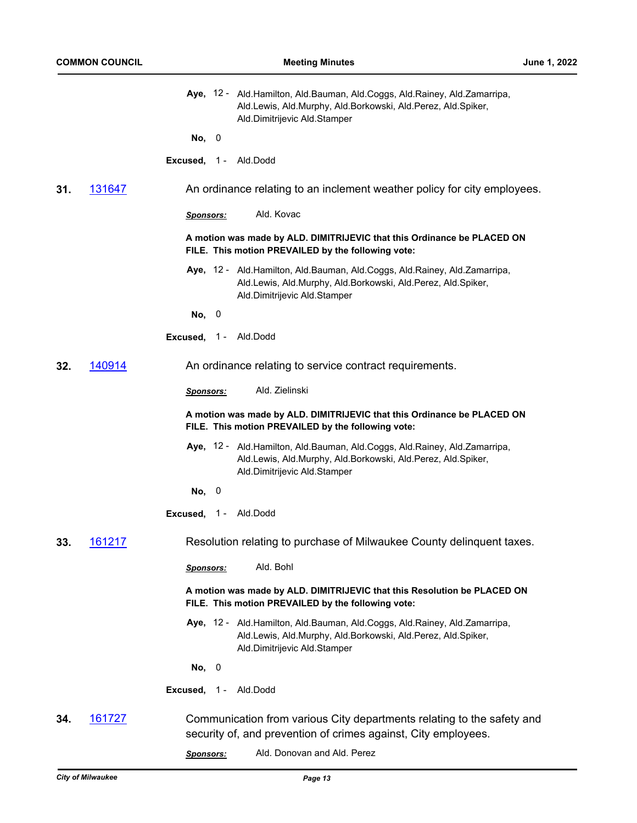|     |        |                              | Aye, 12 - Ald. Hamilton, Ald. Bauman, Ald. Coggs, Ald. Rainey, Ald. Zamarripa,<br>Ald.Lewis, Ald.Murphy, Ald.Borkowski, Ald.Perez, Ald.Spiker,<br>Ald.Dimitrijevic Ald.Stamper |
|-----|--------|------------------------------|--------------------------------------------------------------------------------------------------------------------------------------------------------------------------------|
|     |        | No, 0                        |                                                                                                                                                                                |
|     |        | <b>Excused, 1 - Ald.Dodd</b> |                                                                                                                                                                                |
| 31. | 131647 |                              | An ordinance relating to an inclement weather policy for city employees.                                                                                                       |
|     |        | Sponsors:                    | Ald. Kovac                                                                                                                                                                     |
|     |        |                              | A motion was made by ALD. DIMITRIJEVIC that this Ordinance be PLACED ON<br>FILE. This motion PREVAILED by the following vote:                                                  |
|     |        |                              | Aye, 12 - Ald.Hamilton, Ald.Bauman, Ald.Coggs, Ald.Rainey, Ald.Zamarripa,<br>Ald.Lewis, Ald.Murphy, Ald.Borkowski, Ald.Perez, Ald.Spiker,<br>Ald.Dimitrijevic Ald.Stamper      |
|     |        | No, 0                        |                                                                                                                                                                                |
|     |        | <b>Excused, 1 - Ald.Dodd</b> |                                                                                                                                                                                |
| 32. | 140914 |                              | An ordinance relating to service contract requirements.                                                                                                                        |
|     |        | <b>Sponsors:</b>             | Ald. Zielinski                                                                                                                                                                 |
|     |        |                              | A motion was made by ALD. DIMITRIJEVIC that this Ordinance be PLACED ON<br>FILE. This motion PREVAILED by the following vote:                                                  |
|     |        |                              | Aye, 12 - Ald. Hamilton, Ald. Bauman, Ald. Coggs, Ald. Rainey, Ald. Zamarripa,<br>Ald.Lewis, Ald.Murphy, Ald.Borkowski, Ald.Perez, Ald.Spiker,<br>Ald.Dimitrijevic Ald.Stamper |
|     |        | No, 0                        |                                                                                                                                                                                |
|     |        | Excused, 1 - Ald.Dodd        |                                                                                                                                                                                |
| 33. | 161217 |                              | Resolution relating to purchase of Milwaukee County delinquent taxes.                                                                                                          |
|     |        | <b>Sponsors:</b>             | Ald. Bohl                                                                                                                                                                      |
|     |        |                              | A motion was made by ALD. DIMITRIJEVIC that this Resolution be PLACED ON<br>FILE. This motion PREVAILED by the following vote:                                                 |
|     |        |                              | Aye, 12 - Ald. Hamilton, Ald. Bauman, Ald. Coggs, Ald. Rainey, Ald. Zamarripa,<br>Ald.Lewis, Ald.Murphy, Ald.Borkowski, Ald.Perez, Ald.Spiker,<br>Ald.Dimitrijevic Ald.Stamper |
|     |        | No, 0                        |                                                                                                                                                                                |
|     |        | Excused, 1 - Ald.Dodd        |                                                                                                                                                                                |
| 34. | 161727 |                              | Communication from various City departments relating to the safety and<br>security of, and prevention of crimes against, City employees.                                       |

*Sponsors:* Ald. Donovan and Ald. Perez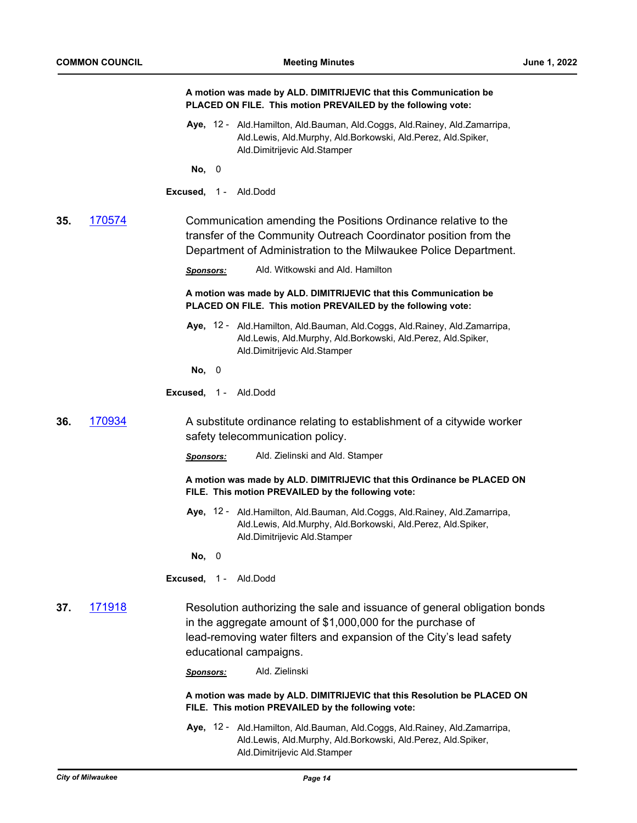|     |        | A motion was made by ALD. DIMITRIJEVIC that this Communication be<br>PLACED ON FILE. This motion PREVAILED by the following vote:                                                                                                       |
|-----|--------|-----------------------------------------------------------------------------------------------------------------------------------------------------------------------------------------------------------------------------------------|
|     |        | Aye, 12 - Ald. Hamilton, Ald. Bauman, Ald. Coggs, Ald. Rainey, Ald. Zamarripa,<br>Ald.Lewis, Ald.Murphy, Ald.Borkowski, Ald.Perez, Ald.Spiker,<br>Ald.Dimitrijevic Ald.Stamper                                                          |
|     |        | No, 0                                                                                                                                                                                                                                   |
|     |        | Excused, 1 - Ald.Dodd                                                                                                                                                                                                                   |
| 35. | 170574 | Communication amending the Positions Ordinance relative to the<br>transfer of the Community Outreach Coordinator position from the<br>Department of Administration to the Milwaukee Police Department.                                  |
|     |        | Ald. Witkowski and Ald. Hamilton<br><b>Sponsors:</b>                                                                                                                                                                                    |
|     |        | A motion was made by ALD. DIMITRIJEVIC that this Communication be<br>PLACED ON FILE. This motion PREVAILED by the following vote:                                                                                                       |
|     |        | Aye, 12 - Ald. Hamilton, Ald. Bauman, Ald. Coggs, Ald. Rainey, Ald. Zamarripa,<br>Ald.Lewis, Ald.Murphy, Ald.Borkowski, Ald.Perez, Ald.Spiker,<br>Ald.Dimitrijevic Ald.Stamper                                                          |
|     |        | No, 0                                                                                                                                                                                                                                   |
|     |        | Excused, 1 - Ald.Dodd                                                                                                                                                                                                                   |
| 36. | 170934 | A substitute ordinance relating to establishment of a citywide worker<br>safety telecommunication policy.                                                                                                                               |
|     |        | Ald. Zielinski and Ald. Stamper<br>Sponsors:                                                                                                                                                                                            |
|     |        | A motion was made by ALD. DIMITRIJEVIC that this Ordinance be PLACED ON<br>FILE. This motion PREVAILED by the following vote:                                                                                                           |
|     |        | Aye, 12 - Ald. Hamilton, Ald. Bauman, Ald. Coggs, Ald. Rainey, Ald. Zamarripa,<br>Ald.Lewis, Ald.Murphy, Ald.Borkowski, Ald.Perez, Ald.Spiker,<br>Ald.Dimitrijevic Ald.Stamper                                                          |
|     |        | No, 0                                                                                                                                                                                                                                   |
|     |        | Excused, 1 - Ald.Dodd                                                                                                                                                                                                                   |
| 37. | 171918 | Resolution authorizing the sale and issuance of general obligation bonds<br>in the aggregate amount of \$1,000,000 for the purchase of<br>lead-removing water filters and expansion of the City's lead safety<br>educational campaigns. |
|     |        | Ald. Zielinski<br>Sponsors:                                                                                                                                                                                                             |
|     |        | A motion was made by ALD. DIMITRIJEVIC that this Resolution be PLACED ON<br>FILE. This motion PREVAILED by the following vote:                                                                                                          |
|     |        | Aye, 12 - Ald. Hamilton, Ald. Bauman, Ald. Coggs, Ald. Rainey, Ald. Zamarripa,<br>Ald.Lewis, Ald.Murphy, Ald.Borkowski, Ald.Perez, Ald.Spiker,<br>Ald.Dimitrijevic Ald.Stamper                                                          |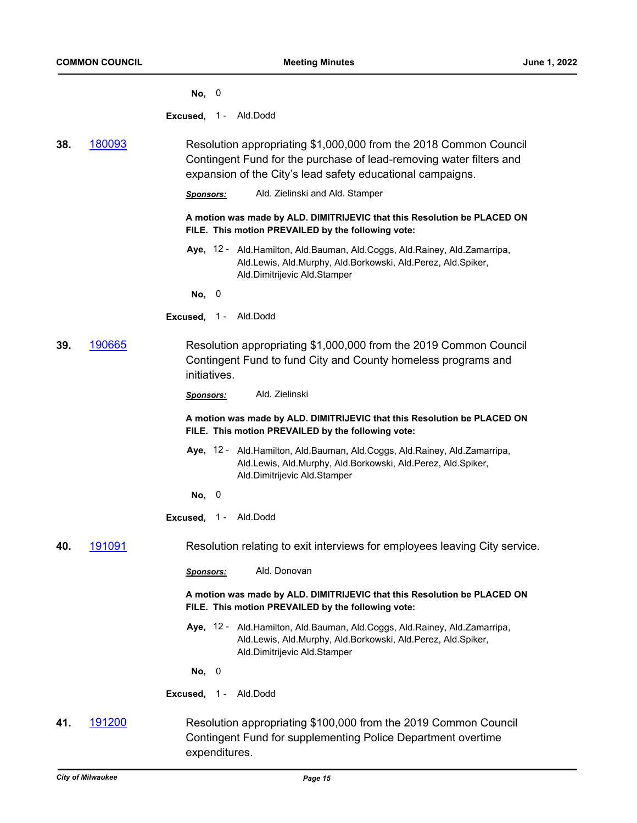|  | ۰,<br>× |
|--|---------|
|--|---------|

**Excused,** 1 - Ald.Dodd

**38.** [180093](http://milwaukee.legistar.com/gateway.aspx?m=l&id=/matter.aspx?key=47964) Resolution appropriating \$1,000,000 from the 2018 Common Council Contingent Fund for the purchase of lead-removing water filters and expansion of the City's lead safety educational campaigns.

*Sponsors:* Ald. Zielinski and Ald. Stamper

**A motion was made by ALD. DIMITRIJEVIC that this Resolution be PLACED ON FILE. This motion PREVAILED by the following vote:**

Aye, 12 - Ald.Hamilton, Ald.Bauman, Ald.Coggs, Ald.Rainey, Ald.Zamarripa, Ald.Lewis, Ald.Murphy, Ald.Borkowski, Ald.Perez, Ald.Spiker, Ald.Dimitrijevic Ald.Stamper

**No,** 0

- **Excused,** 1 Ald.Dodd
- **39.** [190665](http://milwaukee.legistar.com/gateway.aspx?m=l&id=/matter.aspx?key=52307) Resolution appropriating \$1,000,000 from the 2019 Common Council Contingent Fund to fund City and County homeless programs and initiatives.

**A motion was made by ALD. DIMITRIJEVIC that this Resolution be PLACED ON FILE. This motion PREVAILED by the following vote:**

- Aye, 12 Ald.Hamilton, Ald.Bauman, Ald.Coggs, Ald.Rainey, Ald.Zamarripa, Ald.Lewis, Ald.Murphy, Ald.Borkowski, Ald.Perez, Ald.Spiker, Ald.Dimitrijevic Ald.Stamper
- **No,** 0
- **Excused,** 1 Ald.Dodd
- **40.** [191091](http://milwaukee.legistar.com/gateway.aspx?m=l&id=/matter.aspx?key=52938) Resolution relating to exit interviews for employees leaving City service.
	- *Sponsors:* Ald. Donovan

**A motion was made by ALD. DIMITRIJEVIC that this Resolution be PLACED ON FILE. This motion PREVAILED by the following vote:**

Aye, 12 - Ald.Hamilton, Ald.Bauman, Ald.Coggs, Ald.Rainey, Ald.Zamarripa, Ald.Lewis, Ald.Murphy, Ald.Borkowski, Ald.Perez, Ald.Spiker, Ald.Dimitrijevic Ald.Stamper

**No,** 0

**Excused,** 1 - Ald.Dodd

**41.** [191200](http://milwaukee.legistar.com/gateway.aspx?m=l&id=/matter.aspx?key=53085) Resolution appropriating \$100,000 from the 2019 Common Council Contingent Fund for supplementing Police Department overtime expenditures.

*Sponsors:* Ald. Zielinski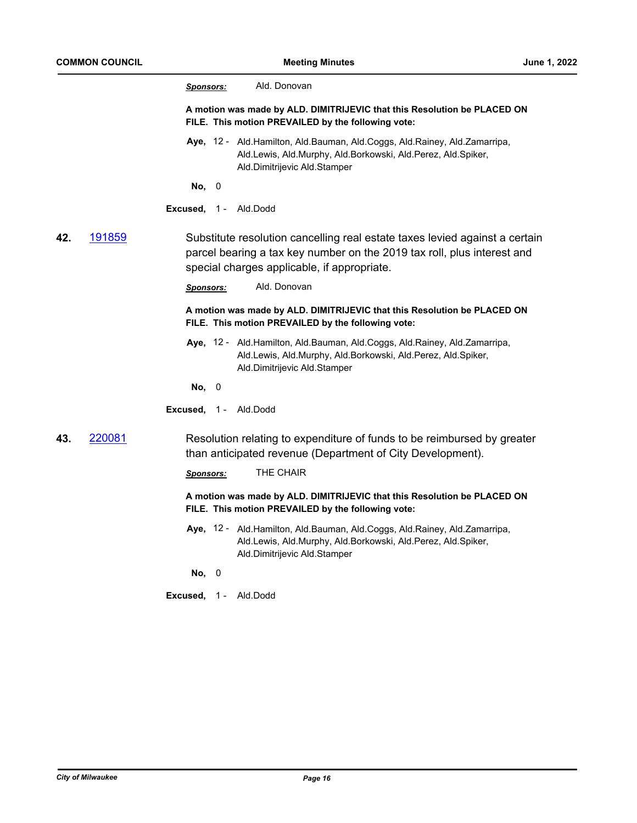|     |        | Ald. Donovan<br><b>Sponsors:</b>                                                                                                                                                                      |
|-----|--------|-------------------------------------------------------------------------------------------------------------------------------------------------------------------------------------------------------|
|     |        | A motion was made by ALD. DIMITRIJEVIC that this Resolution be PLACED ON<br>FILE. This motion PREVAILED by the following vote:                                                                        |
|     |        | Aye, 12 - Ald. Hamilton, Ald. Bauman, Ald. Coggs, Ald. Rainey, Ald. Zamarripa,<br>Ald.Lewis, Ald.Murphy, Ald.Borkowski, Ald.Perez, Ald.Spiker,<br>Ald.Dimitrijevic Ald.Stamper                        |
|     |        | No, 0                                                                                                                                                                                                 |
|     |        | <b>Excused, 1 - Ald.Dodd</b>                                                                                                                                                                          |
| 42. | 191859 | Substitute resolution cancelling real estate taxes levied against a certain<br>parcel bearing a tax key number on the 2019 tax roll, plus interest and<br>special charges applicable, if appropriate. |
|     |        | Ald. Donovan<br><b>Sponsors:</b>                                                                                                                                                                      |
|     |        | A motion was made by ALD. DIMITRIJEVIC that this Resolution be PLACED ON<br>FILE. This motion PREVAILED by the following vote:                                                                        |
|     |        | Aye, 12 - Ald. Hamilton, Ald. Bauman, Ald. Coggs, Ald. Rainey, Ald. Zamarripa,<br>Ald.Lewis, Ald.Murphy, Ald.Borkowski, Ald.Perez, Ald.Spiker,<br>Ald.Dimitrijevic Ald.Stamper                        |
|     |        | No, 0                                                                                                                                                                                                 |
|     |        | Excused, 1 - Ald.Dodd                                                                                                                                                                                 |
| 43. | 220081 | Resolution relating to expenditure of funds to be reimbursed by greater<br>than anticipated revenue (Department of City Development).                                                                 |
|     |        | THE CHAIR<br><b>Sponsors:</b>                                                                                                                                                                         |
|     |        | A motion was made by ALD. DIMITRIJEVIC that this Resolution be PLACED ON<br>FILE. This motion PREVAILED by the following vote:                                                                        |
|     |        | Aye, 12 - Ald. Hamilton, Ald. Bauman, Ald. Coggs, Ald. Rainey, Ald. Zamarripa,<br>Ald.Lewis, Ald.Murphy, Ald.Borkowski, Ald.Perez, Ald.Spiker,<br>Ald.Dimitrijevic Ald.Stamper                        |
|     |        |                                                                                                                                                                                                       |

**No,** 0

**Excused,** 1 - Ald.Dodd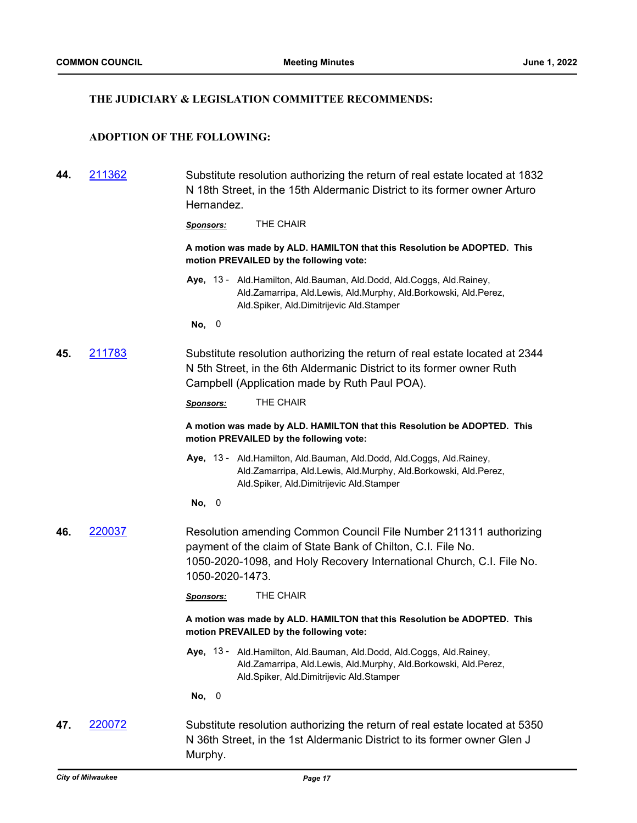#### **THE JUDICIARY & LEGISLATION COMMITTEE RECOMMENDS:**

## **ADOPTION OF THE FOLLOWING:**

| 44. | 211362 | Substitute resolution authorizing the return of real estate located at 1832 |
|-----|--------|-----------------------------------------------------------------------------|
|     |        | N 18th Street, in the 15th Aldermanic District to its former owner Arturo   |
|     |        | Hernandez.                                                                  |
|     |        |                                                                             |

*Sponsors:* THE CHAIR

**A motion was made by ALD. HAMILTON that this Resolution be ADOPTED. This motion PREVAILED by the following vote:**

Aye, 13 - Ald.Hamilton, Ald.Bauman, Ald.Dodd, Ald.Coggs, Ald.Rainey, Ald.Zamarripa, Ald.Lewis, Ald.Murphy, Ald.Borkowski, Ald.Perez, Ald.Spiker, Ald.Dimitrijevic Ald.Stamper

**No,** 0

**45.** [211783](http://milwaukee.legistar.com/gateway.aspx?m=l&id=/matter.aspx?key=61555) Substitute resolution authorizing the return of real estate located at 2344 N 5th Street, in the 6th Aldermanic District to its former owner Ruth Campbell (Application made by Ruth Paul POA).

*Sponsors:* THE CHAIR

**A motion was made by ALD. HAMILTON that this Resolution be ADOPTED. This motion PREVAILED by the following vote:**

- Aye, 13 Ald.Hamilton, Ald.Bauman, Ald.Dodd, Ald.Coggs, Ald.Rainey, Ald.Zamarripa, Ald.Lewis, Ald.Murphy, Ald.Borkowski, Ald.Perez, Ald.Spiker, Ald.Dimitrijevic Ald.Stamper
- **No,** 0
- **46.** [220037](http://milwaukee.legistar.com/gateway.aspx?m=l&id=/matter.aspx?key=62042) Resolution amending Common Council File Number 211311 authorizing payment of the claim of State Bank of Chilton, C.I. File No. 1050-2020-1098, and Holy Recovery International Church, C.I. File No. 1050-2020-1473.

*Sponsors:* THE CHAIR

**A motion was made by ALD. HAMILTON that this Resolution be ADOPTED. This motion PREVAILED by the following vote:**

Aye, 13 - Ald.Hamilton, Ald.Bauman, Ald.Dodd, Ald.Coggs, Ald.Rainey, Ald.Zamarripa, Ald.Lewis, Ald.Murphy, Ald.Borkowski, Ald.Perez, Ald.Spiker, Ald.Dimitrijevic Ald.Stamper

**No,** 0

**47.** [220072](http://milwaukee.legistar.com/gateway.aspx?m=l&id=/matter.aspx?key=62099) Substitute resolution authorizing the return of real estate located at 5350 N 36th Street, in the 1st Aldermanic District to its former owner Glen J Murphy.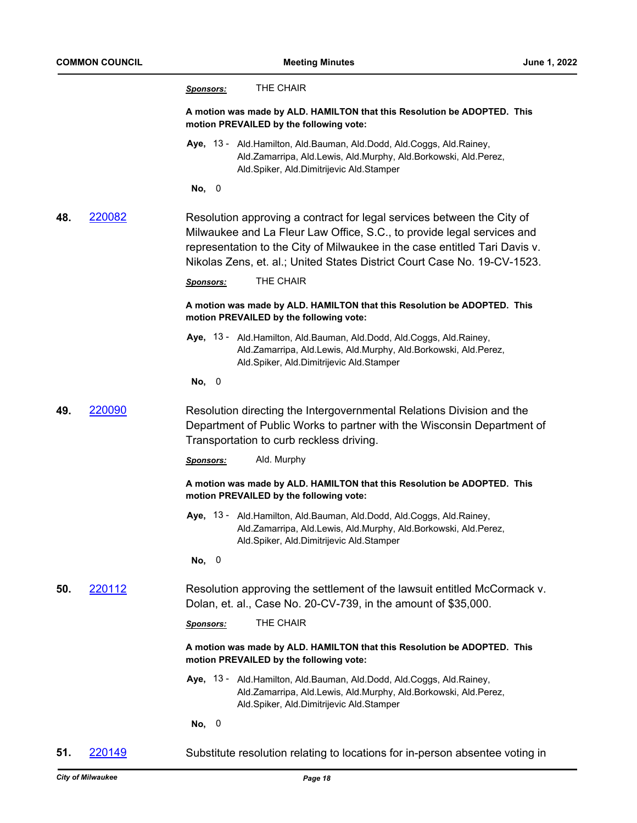|     |        | THE CHAIR<br><u>Sponsors:</u>                                                                                                                                                                                                                                                                              |
|-----|--------|------------------------------------------------------------------------------------------------------------------------------------------------------------------------------------------------------------------------------------------------------------------------------------------------------------|
|     |        | A motion was made by ALD. HAMILTON that this Resolution be ADOPTED. This<br>motion PREVAILED by the following vote:                                                                                                                                                                                        |
|     |        | Aye, 13 - Ald. Hamilton, Ald. Bauman, Ald. Dodd, Ald. Coggs, Ald. Rainey,<br>Ald.Zamarripa, Ald.Lewis, Ald.Murphy, Ald.Borkowski, Ald.Perez,<br>Ald.Spiker, Ald.Dimitrijevic Ald.Stamper                                                                                                                   |
|     |        | No, 0                                                                                                                                                                                                                                                                                                      |
| 48. | 220082 | Resolution approving a contract for legal services between the City of<br>Milwaukee and La Fleur Law Office, S.C., to provide legal services and<br>representation to the City of Milwaukee in the case entitled Tari Davis v.<br>Nikolas Zens, et. al.; United States District Court Case No. 19-CV-1523. |
|     |        | THE CHAIR<br>Sponsors:                                                                                                                                                                                                                                                                                     |
|     |        | A motion was made by ALD. HAMILTON that this Resolution be ADOPTED. This<br>motion PREVAILED by the following vote:                                                                                                                                                                                        |
|     |        | Aye, 13 - Ald.Hamilton, Ald.Bauman, Ald.Dodd, Ald.Coggs, Ald.Rainey,<br>Ald.Zamarripa, Ald.Lewis, Ald.Murphy, Ald.Borkowski, Ald.Perez,<br>Ald.Spiker, Ald.Dimitrijevic Ald.Stamper                                                                                                                        |
|     |        | No, 0                                                                                                                                                                                                                                                                                                      |
| 49. | 220090 | Resolution directing the Intergovernmental Relations Division and the<br>Department of Public Works to partner with the Wisconsin Department of<br>Transportation to curb reckless driving.                                                                                                                |
|     |        | Ald. Murphy<br><b>Sponsors:</b>                                                                                                                                                                                                                                                                            |
|     |        | A motion was made by ALD. HAMILTON that this Resolution be ADOPTED. This<br>motion PREVAILED by the following vote:                                                                                                                                                                                        |
|     |        | Aye, 13 - Ald. Hamilton, Ald. Bauman, Ald. Dodd, Ald. Coggs, Ald. Rainey,<br>Ald.Zamarripa, Ald.Lewis, Ald.Murphy, Ald.Borkowski, Ald.Perez,<br>Ald.Spiker, Ald.Dimitrijevic Ald.Stamper                                                                                                                   |
|     |        | No, 0                                                                                                                                                                                                                                                                                                      |
| 50. | 220112 | Resolution approving the settlement of the lawsuit entitled McCormack v.<br>Dolan, et. al., Case No. 20-CV-739, in the amount of \$35,000.                                                                                                                                                                 |
|     |        | THE CHAIR<br><b>Sponsors:</b>                                                                                                                                                                                                                                                                              |
|     |        | A motion was made by ALD. HAMILTON that this Resolution be ADOPTED. This<br>motion PREVAILED by the following vote:                                                                                                                                                                                        |
|     |        | Aye, 13 - Ald.Hamilton, Ald.Bauman, Ald.Dodd, Ald.Coggs, Ald.Rainey,<br>Ald.Zamarripa, Ald.Lewis, Ald.Murphy, Ald.Borkowski, Ald.Perez,<br>Ald.Spiker, Ald.Dimitrijevic Ald.Stamper                                                                                                                        |
|     |        | No, 0                                                                                                                                                                                                                                                                                                      |
| 51. | 220149 | Substitute resolution relating to locations for in-person absentee voting in                                                                                                                                                                                                                               |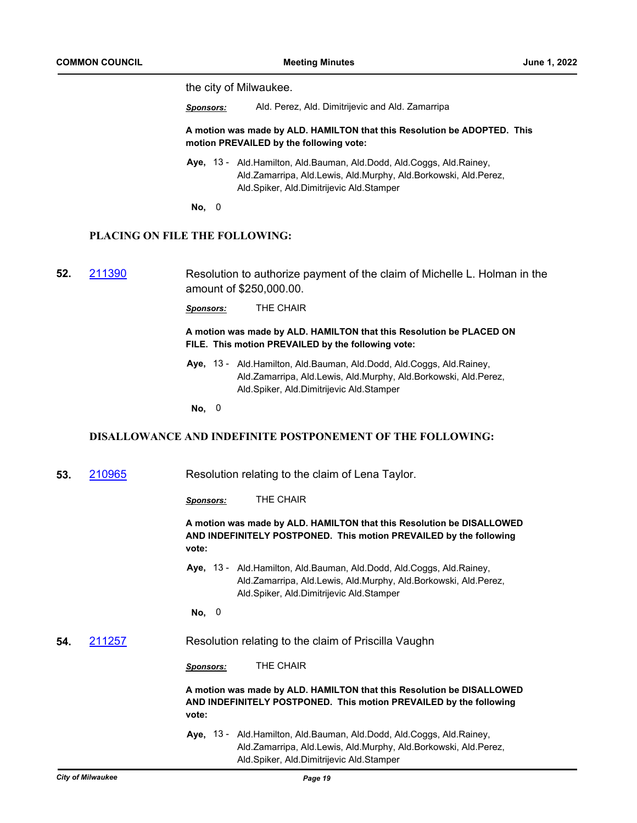the city of Milwaukee.

*Sponsors:* Ald. Perez, Ald. Dimitrijevic and Ald. Zamarripa

**A motion was made by ALD. HAMILTON that this Resolution be ADOPTED. This motion PREVAILED by the following vote:**

- Aye, 13 Ald.Hamilton, Ald.Bauman, Ald.Dodd, Ald.Coggs, Ald.Rainey, Ald.Zamarripa, Ald.Lewis, Ald.Murphy, Ald.Borkowski, Ald.Perez, Ald.Spiker, Ald.Dimitrijevic Ald.Stamper
- **No,** 0

#### **PLACING ON FILE THE FOLLOWING:**

**52.** [211390](http://milwaukee.legistar.com/gateway.aspx?m=l&id=/matter.aspx?key=60987) Resolution to authorize payment of the claim of Michelle L. Holman in the amount of \$250,000.00.

*Sponsors:* THE CHAIR

#### **A motion was made by ALD. HAMILTON that this Resolution be PLACED ON FILE. This motion PREVAILED by the following vote:**

Aye, 13 - Ald.Hamilton, Ald.Bauman, Ald.Dodd, Ald.Coggs, Ald.Rainey, Ald.Zamarripa, Ald.Lewis, Ald.Murphy, Ald.Borkowski, Ald.Perez, Ald.Spiker, Ald.Dimitrijevic Ald.Stamper

**No,** 0

#### **DISALLOWANCE AND INDEFINITE POSTPONEMENT OF THE FOLLOWING:**

**53.** [210965](http://milwaukee.legistar.com/gateway.aspx?m=l&id=/matter.aspx?key=60376) Resolution relating to the claim of Lena Taylor.

*Sponsors:* THE CHAIR

#### **A motion was made by ALD. HAMILTON that this Resolution be DISALLOWED AND INDEFINITELY POSTPONED. This motion PREVAILED by the following vote:**

Aye, 13 - Ald.Hamilton, Ald.Bauman, Ald.Dodd, Ald.Coggs, Ald.Rainey, Ald.Zamarripa, Ald.Lewis, Ald.Murphy, Ald.Borkowski, Ald.Perez, Ald.Spiker, Ald.Dimitrijevic Ald.Stamper

**No,** 0

#### **54.** [211257](http://milwaukee.legistar.com/gateway.aspx?m=l&id=/matter.aspx?key=60808) Resolution relating to the claim of Priscilla Vaughn

*Sponsors:* THE CHAIR

**A motion was made by ALD. HAMILTON that this Resolution be DISALLOWED AND INDEFINITELY POSTPONED. This motion PREVAILED by the following vote:**

Aye, 13 - Ald.Hamilton, Ald.Bauman, Ald.Dodd, Ald.Coggs, Ald.Rainey, Ald.Zamarripa, Ald.Lewis, Ald.Murphy, Ald.Borkowski, Ald.Perez, Ald.Spiker, Ald.Dimitrijevic Ald.Stamper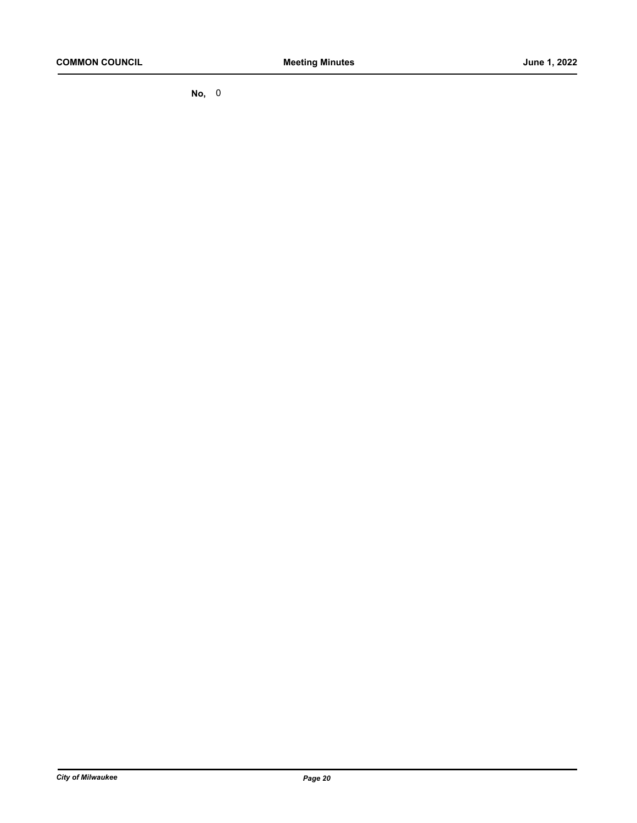**No,** 0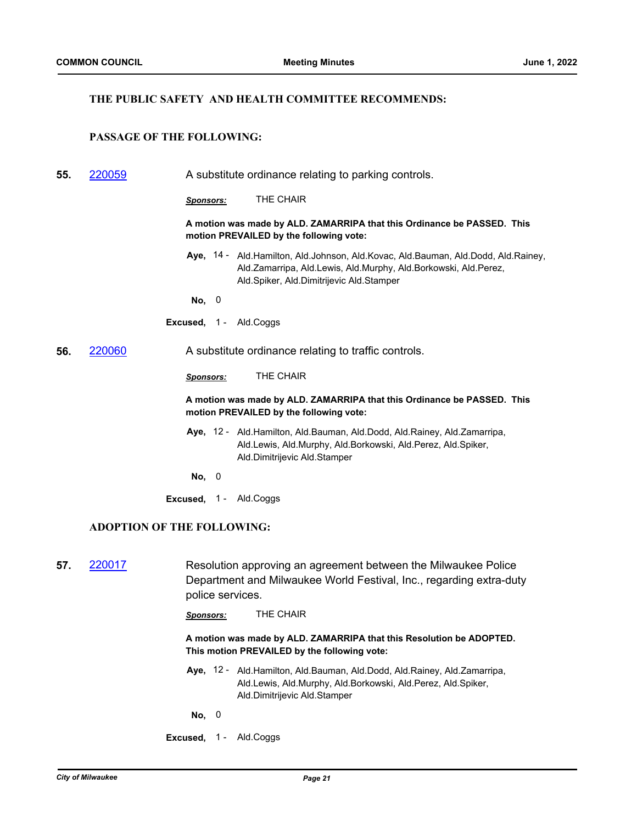#### **THE PUBLIC SAFETY AND HEALTH COMMITTEE RECOMMENDS:**

## **PASSAGE OF THE FOLLOWING:**

**55.** [220059](http://milwaukee.legistar.com/gateway.aspx?m=l&id=/matter.aspx?key=62084) A substitute ordinance relating to parking controls.

*Sponsors:* THE CHAIR

**A motion was made by ALD. ZAMARRIPA that this Ordinance be PASSED. This motion PREVAILED by the following vote:**

- Aye, 14 Ald.Hamilton, Ald.Johnson, Ald.Kovac, Ald.Bauman, Ald.Dodd, Ald.Rainey, Ald.Zamarripa, Ald.Lewis, Ald.Murphy, Ald.Borkowski, Ald.Perez, Ald.Spiker, Ald.Dimitrijevic Ald.Stamper
- **No,** 0
- **Excused,** 1 Ald.Coggs
- **56.** [220060](http://milwaukee.legistar.com/gateway.aspx?m=l&id=/matter.aspx?key=62085) A substitute ordinance relating to traffic controls.

*Sponsors:* THE CHAIR

#### **A motion was made by ALD. ZAMARRIPA that this Ordinance be PASSED. This motion PREVAILED by the following vote:**

- Aye, 12 Ald. Hamilton, Ald. Bauman, Ald. Dodd, Ald. Rainey, Ald. Zamarripa, Ald.Lewis, Ald.Murphy, Ald.Borkowski, Ald.Perez, Ald.Spiker, Ald.Dimitrijevic Ald.Stamper
- **No,** 0
- **Excused,** 1 Ald.Coggs

#### **ADOPTION OF THE FOLLOWING:**

**57.** [220017](http://milwaukee.legistar.com/gateway.aspx?m=l&id=/matter.aspx?key=62013) Resolution approving an agreement between the Milwaukee Police Department and Milwaukee World Festival, Inc., regarding extra-duty police services.

*Sponsors:* THE CHAIR

**A motion was made by ALD. ZAMARRIPA that this Resolution be ADOPTED. This motion PREVAILED by the following vote:**

- Aye, 12 Ald. Hamilton, Ald. Bauman, Ald. Dodd, Ald. Rainey, Ald. Zamarripa, Ald.Lewis, Ald.Murphy, Ald.Borkowski, Ald.Perez, Ald.Spiker, Ald.Dimitrijevic Ald.Stamper
- **No,** 0
- **Excused,** 1 Ald.Coggs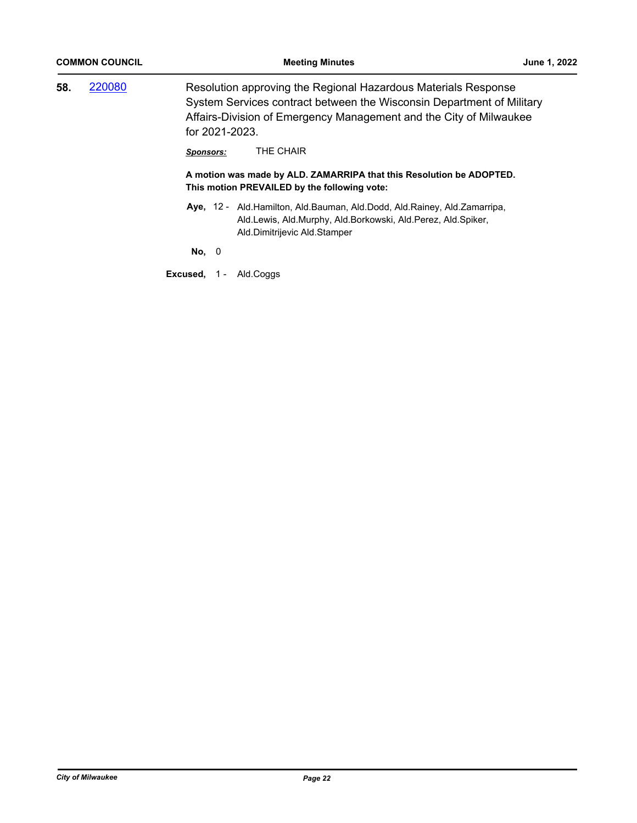| <b>COMMON COUNCIL</b> |  |                  | <b>Meeting Minutes</b>                                                                                                                                                                                        | June 1, 2022 |
|-----------------------|--|------------------|---------------------------------------------------------------------------------------------------------------------------------------------------------------------------------------------------------------|--------------|
| 220080<br>58.         |  | for 2021-2023.   | Resolution approving the Regional Hazardous Materials Response<br>System Services contract between the Wisconsin Department of Military<br>Affairs-Division of Emergency Management and the City of Milwaukee |              |
|                       |  | <u>Sponsors:</u> | THE CHAIR<br>A motion was made by ALD. ZAMARRIPA that this Resolution be ADOPTED.<br>This motion PREVAILED by the following vote:                                                                             |              |
|                       |  |                  | Aye, 12 - Ald. Hamilton, Ald. Bauman, Ald. Dodd, Ald. Rainey, Ald. Zamarripa,<br>Ald.Lewis, Ald.Murphy, Ald.Borkowski, Ald.Perez, Ald.Spiker,<br>Ald.Dimitrijevic Ald.Stamper                                 |              |
|                       |  | No, 0            |                                                                                                                                                                                                               |              |
|                       |  | Excused,<br>1 -  | Ald.Coggs                                                                                                                                                                                                     |              |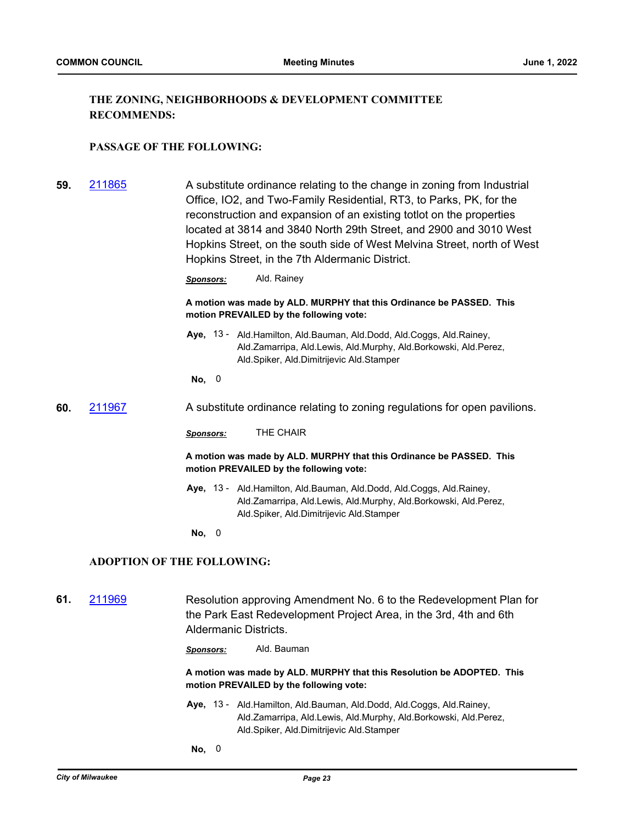## **THE ZONING, NEIGHBORHOODS & DEVELOPMENT COMMITTEE RECOMMENDS:**

#### **PASSAGE OF THE FOLLOWING:**

**59.** [211865](http://milwaukee.legistar.com/gateway.aspx?m=l&id=/matter.aspx?key=61712) A substitute ordinance relating to the change in zoning from Industrial Office, IO2, and Two-Family Residential, RT3, to Parks, PK, for the reconstruction and expansion of an existing totlot on the properties located at 3814 and 3840 North 29th Street, and 2900 and 3010 West Hopkins Street, on the south side of West Melvina Street, north of West Hopkins Street, in the 7th Aldermanic District.

*Sponsors:* Ald. Rainey

**A motion was made by ALD. MURPHY that this Ordinance be PASSED. This motion PREVAILED by the following vote:**

Aye, 13 - Ald.Hamilton, Ald.Bauman, Ald.Dodd, Ald.Coggs, Ald.Rainey, Ald.Zamarripa, Ald.Lewis, Ald.Murphy, Ald.Borkowski, Ald.Perez, Ald.Spiker, Ald.Dimitrijevic Ald.Stamper

**No,** 0

**60.** [211967](http://milwaukee.legistar.com/gateway.aspx?m=l&id=/matter.aspx?key=61866) A substitute ordinance relating to zoning regulations for open pavilions.

*Sponsors:* THE CHAIR

**A motion was made by ALD. MURPHY that this Ordinance be PASSED. This motion PREVAILED by the following vote:**

- Aye, 13 Ald.Hamilton, Ald.Bauman, Ald.Dodd, Ald.Coggs, Ald.Rainey, Ald.Zamarripa, Ald.Lewis, Ald.Murphy, Ald.Borkowski, Ald.Perez, Ald.Spiker, Ald.Dimitrijevic Ald.Stamper
- **No,** 0

#### **ADOPTION OF THE FOLLOWING:**

- **61.** [211969](http://milwaukee.legistar.com/gateway.aspx?m=l&id=/matter.aspx?key=61874) Resolution approving Amendment No. 6 to the Redevelopment Plan for the Park East Redevelopment Project Area, in the 3rd, 4th and 6th Aldermanic Districts.
	- *Sponsors:* Ald. Bauman

**A motion was made by ALD. MURPHY that this Resolution be ADOPTED. This motion PREVAILED by the following vote:**

- Aye, 13 Ald.Hamilton, Ald.Bauman, Ald.Dodd, Ald.Coggs, Ald.Rainey, Ald.Zamarripa, Ald.Lewis, Ald.Murphy, Ald.Borkowski, Ald.Perez, Ald.Spiker, Ald.Dimitrijevic Ald.Stamper
- **No,** 0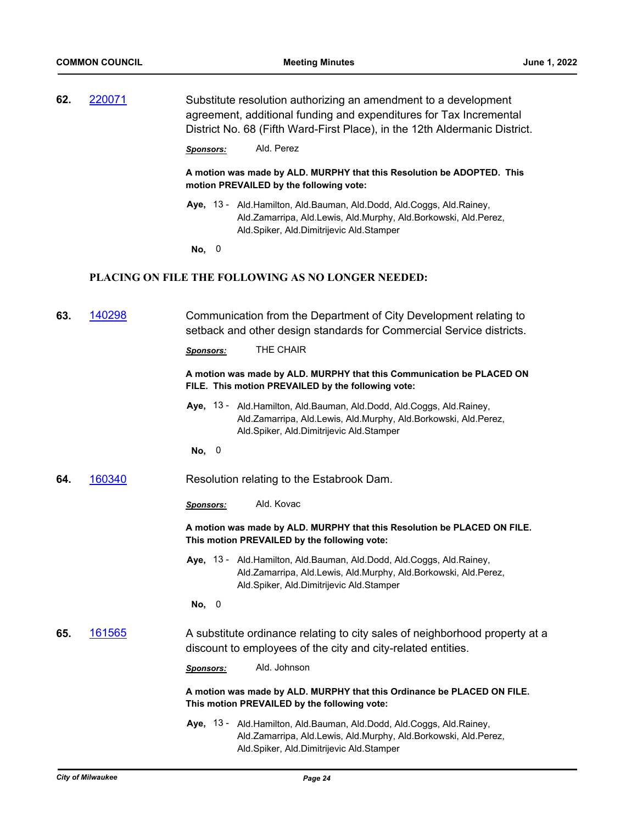| 62. | 220071 | Substitute resolution authorizing an amendment to a development<br>agreement, additional funding and expenditures for Tax Incremental<br>District No. 68 (Fifth Ward-First Place), in the 12th Aldermanic District. |
|-----|--------|---------------------------------------------------------------------------------------------------------------------------------------------------------------------------------------------------------------------|
|     |        | Ald. Perez<br><b>Sponsors:</b>                                                                                                                                                                                      |
|     |        | A motion was made by ALD. MURPHY that this Resolution be ADOPTED. This<br>motion PREVAILED by the following vote:                                                                                                   |
|     |        | Aye, 13 - Ald. Hamilton, Ald. Bauman, Ald. Dodd, Ald. Coggs, Ald. Rainey,<br>Ald.Zamarripa, Ald.Lewis, Ald.Murphy, Ald.Borkowski, Ald.Perez,<br>Ald.Spiker, Ald.Dimitrijevic Ald.Stamper                            |
|     |        | No, 0                                                                                                                                                                                                               |
|     |        | <b>PLACING ON FILE THE FOLLOWING AS NO LONGER NEEDED:</b>                                                                                                                                                           |
| 63. | 140298 | Communication from the Department of City Development relating to<br>setback and other design standards for Commercial Service districts.                                                                           |
|     |        | THE CHAIR<br><b>Sponsors:</b>                                                                                                                                                                                       |
|     |        | A motion was made by ALD. MURPHY that this Communication be PLACED ON<br>FILE. This motion PREVAILED by the following vote:                                                                                         |
|     |        | Aye, 13 - Ald. Hamilton, Ald. Bauman, Ald. Dodd, Ald. Coggs, Ald. Rainey,<br>Ald.Zamarripa, Ald.Lewis, Ald.Murphy, Ald.Borkowski, Ald.Perez,<br>Ald.Spiker, Ald.Dimitrijevic Ald.Stamper                            |
|     |        | No, 0                                                                                                                                                                                                               |
| 64. | 160340 | Resolution relating to the Estabrook Dam.                                                                                                                                                                           |
|     |        | Ald. Kovac<br><b>Sponsors:</b>                                                                                                                                                                                      |
|     |        | A motion was made by ALD. MURPHY that this Resolution be PLACED ON FILE.<br>This motion PREVAILED by the following vote:                                                                                            |
|     |        | Aye, 13 - Ald.Hamilton, Ald.Bauman, Ald.Dodd, Ald.Coggs, Ald.Rainey,<br>Ald.Zamarripa, Ald.Lewis, Ald.Murphy, Ald.Borkowski, Ald.Perez,<br>Ald.Spiker, Ald.Dimitrijevic Ald.Stamper                                 |
|     |        | No, 0                                                                                                                                                                                                               |
| 65. | 161565 | A substitute ordinance relating to city sales of neighborhood property at a<br>discount to employees of the city and city-related entities.                                                                         |
|     |        | Ald. Johnson<br>Sponsors:                                                                                                                                                                                           |
|     |        | A motion was made by ALD. MURPHY that this Ordinance be PLACED ON FILE.<br>This motion PREVAILED by the following vote:                                                                                             |
|     |        | Aye, 13 - Ald. Hamilton, Ald. Bauman, Ald. Dodd, Ald. Coggs, Ald. Rainey,<br>Ald.Zamarripa, Ald.Lewis, Ald.Murphy, Ald.Borkowski, Ald.Perez,<br>Ald.Spiker, Ald.Dimitrijevic Ald.Stamper                            |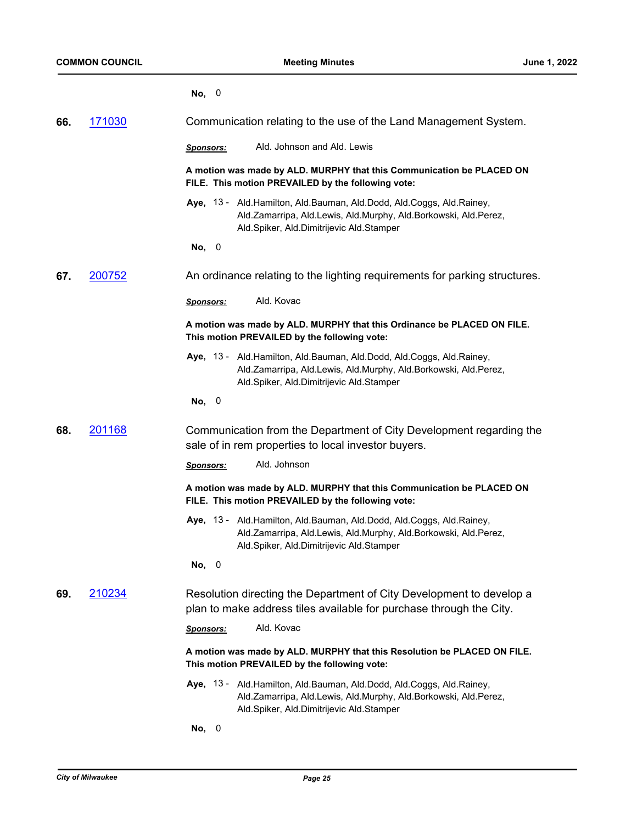|     |        | No, 0                                                                                                                                                                                    |
|-----|--------|------------------------------------------------------------------------------------------------------------------------------------------------------------------------------------------|
| 66. | 171030 | Communication relating to the use of the Land Management System.                                                                                                                         |
|     |        | Ald. Johnson and Ald. Lewis<br><b>Sponsors:</b>                                                                                                                                          |
|     |        | A motion was made by ALD. MURPHY that this Communication be PLACED ON<br>FILE. This motion PREVAILED by the following vote:                                                              |
|     |        | Aye, 13 - Ald. Hamilton, Ald. Bauman, Ald. Dodd, Ald. Coggs, Ald. Rainey,<br>Ald.Zamarripa, Ald.Lewis, Ald.Murphy, Ald.Borkowski, Ald.Perez,<br>Ald.Spiker, Ald.Dimitrijevic Ald.Stamper |
|     |        | No, 0                                                                                                                                                                                    |
| 67. | 200752 | An ordinance relating to the lighting requirements for parking structures.                                                                                                               |
|     |        | Ald. Kovac<br>Sponsors:                                                                                                                                                                  |
|     |        | A motion was made by ALD. MURPHY that this Ordinance be PLACED ON FILE.<br>This motion PREVAILED by the following vote:                                                                  |
|     |        | Aye, 13 - Ald. Hamilton, Ald. Bauman, Ald. Dodd, Ald. Coggs, Ald. Rainey,<br>Ald.Zamarripa, Ald.Lewis, Ald.Murphy, Ald.Borkowski, Ald.Perez,<br>Ald.Spiker, Ald.Dimitrijevic Ald.Stamper |
|     |        | No, 0                                                                                                                                                                                    |
| 68. | 201168 | Communication from the Department of City Development regarding the<br>sale of in rem properties to local investor buyers.                                                               |
|     |        | Ald. Johnson<br><b>Sponsors:</b>                                                                                                                                                         |
|     |        | A motion was made by ALD. MURPHY that this Communication be PLACED ON<br>FILE. This motion PREVAILED by the following vote:                                                              |
|     |        | Aye, 13 - Ald. Hamilton, Ald. Bauman, Ald. Dodd, Ald. Coggs, Ald. Rainey,<br>Ald.Zamarripa, Ald.Lewis, Ald.Murphy, Ald.Borkowski, Ald.Perez,<br>Ald.Spiker, Ald.Dimitrijevic Ald.Stamper |
|     |        | No, 0                                                                                                                                                                                    |
| 69. | 210234 | Resolution directing the Department of City Development to develop a<br>plan to make address tiles available for purchase through the City.                                              |
|     |        | Ald. Kovac<br>Sponsors:                                                                                                                                                                  |
|     |        | A motion was made by ALD. MURPHY that this Resolution be PLACED ON FILE.<br>This motion PREVAILED by the following vote:                                                                 |
|     |        | Aye, 13 - Ald.Hamilton, Ald.Bauman, Ald.Dodd, Ald.Coggs, Ald.Rainey,<br>Ald.Zamarripa, Ald.Lewis, Ald.Murphy, Ald.Borkowski, Ald.Perez,<br>Ald.Spiker, Ald.Dimitrijevic Ald.Stamper      |
|     |        | No, 0                                                                                                                                                                                    |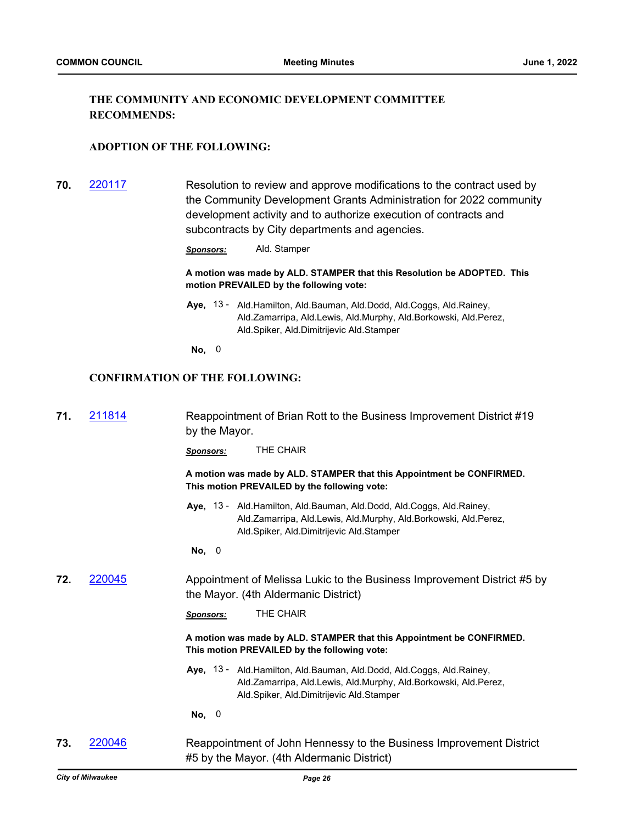## **THE COMMUNITY AND ECONOMIC DEVELOPMENT COMMITTEE RECOMMENDS:**

#### **ADOPTION OF THE FOLLOWING:**

**70.** [220117](http://milwaukee.legistar.com/gateway.aspx?m=l&id=/matter.aspx?key=62165) Resolution to review and approve modifications to the contract used by the Community Development Grants Administration for 2022 community development activity and to authorize execution of contracts and subcontracts by City departments and agencies.

*Sponsors:* Ald. Stamper

**A motion was made by ALD. STAMPER that this Resolution be ADOPTED. This motion PREVAILED by the following vote:**

- Aye, 13 Ald.Hamilton, Ald.Bauman, Ald.Dodd, Ald.Coggs, Ald.Rainey, Ald.Zamarripa, Ald.Lewis, Ald.Murphy, Ald.Borkowski, Ald.Perez, Ald.Spiker, Ald.Dimitrijevic Ald.Stamper
- **No,** 0

## **CONFIRMATION OF THE FOLLOWING:**

| 71. | 211814        | Reappointment of Brian Rott to the Business Improvement District #19<br>by the Mayor.                                                                                                    |
|-----|---------------|------------------------------------------------------------------------------------------------------------------------------------------------------------------------------------------|
|     |               | THE CHAIR<br><b>Sponsors:</b>                                                                                                                                                            |
|     |               | A motion was made by ALD. STAMPER that this Appointment be CONFIRMED.<br>This motion PREVAILED by the following vote:                                                                    |
|     |               | Aye, 13 - Ald.Hamilton, Ald.Bauman, Ald.Dodd, Ald.Coggs, Ald.Rainey,<br>Ald.Zamarripa, Ald.Lewis, Ald.Murphy, Ald.Borkowski, Ald.Perez,<br>Ald.Spiker, Ald.Dimitrijevic Ald.Stamper      |
|     |               | No, 0                                                                                                                                                                                    |
| 72. | <u>220045</u> | Appointment of Melissa Lukic to the Business Improvement District #5 by<br>the Mayor. (4th Aldermanic District)                                                                          |
|     |               | THE CHAIR<br><b>Sponsors:</b>                                                                                                                                                            |
|     |               | A motion was made by ALD. STAMPER that this Appointment be CONFIRMED.<br>This motion PREVAILED by the following vote:                                                                    |
|     |               | Aye, 13 - Ald. Hamilton, Ald. Bauman, Ald. Dodd, Ald. Coggs, Ald. Rainey,<br>Ald.Zamarripa, Ald.Lewis, Ald.Murphy, Ald.Borkowski, Ald.Perez,<br>Ald.Spiker, Ald.Dimitrijevic Ald.Stamper |
|     |               | No, 0                                                                                                                                                                                    |
| 73. | 220046        | Reappointment of John Hennessy to the Business Improvement District<br>#5 by the Mayor. (4th Aldermanic District)                                                                        |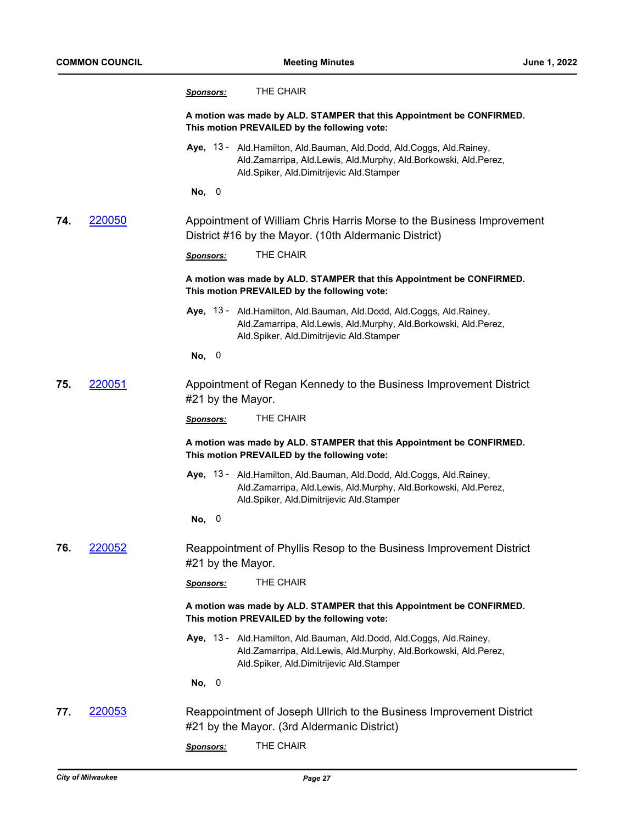|     |        | THE CHAIR<br><u>Sponsors:</u>                                                                                                                                                            |
|-----|--------|------------------------------------------------------------------------------------------------------------------------------------------------------------------------------------------|
|     |        | A motion was made by ALD. STAMPER that this Appointment be CONFIRMED.<br>This motion PREVAILED by the following vote:                                                                    |
|     |        | Aye, 13 - Ald. Hamilton, Ald. Bauman, Ald. Dodd, Ald. Coggs, Ald. Rainey,<br>Ald.Zamarripa, Ald.Lewis, Ald.Murphy, Ald.Borkowski, Ald.Perez,<br>Ald.Spiker, Ald.Dimitrijevic Ald.Stamper |
|     |        | No, 0                                                                                                                                                                                    |
| 74. | 220050 | Appointment of William Chris Harris Morse to the Business Improvement<br>District #16 by the Mayor. (10th Aldermanic District)                                                           |
|     |        | THE CHAIR<br>Sponsors:                                                                                                                                                                   |
|     |        | A motion was made by ALD. STAMPER that this Appointment be CONFIRMED.<br>This motion PREVAILED by the following vote:                                                                    |
|     |        | Aye, 13 - Ald. Hamilton, Ald. Bauman, Ald. Dodd, Ald. Coggs, Ald. Rainey,<br>Ald.Zamarripa, Ald.Lewis, Ald.Murphy, Ald.Borkowski, Ald.Perez,<br>Ald.Spiker, Ald.Dimitrijevic Ald.Stamper |
|     |        | No, 0                                                                                                                                                                                    |
| 75. | 220051 | Appointment of Regan Kennedy to the Business Improvement District<br>#21 by the Mayor.                                                                                                   |
|     |        | THE CHAIR<br>Sponsors:                                                                                                                                                                   |
|     |        | A motion was made by ALD. STAMPER that this Appointment be CONFIRMED.<br>This motion PREVAILED by the following vote:                                                                    |
|     |        | Aye, 13 - Ald. Hamilton, Ald. Bauman, Ald. Dodd, Ald. Coggs, Ald. Rainey,<br>Ald.Zamarripa, Ald.Lewis, Ald.Murphy, Ald.Borkowski, Ald.Perez,<br>Ald.Spiker, Ald.Dimitrijevic Ald.Stamper |
|     |        | No, 0                                                                                                                                                                                    |
| 76. | 220052 | Reappointment of Phyllis Resop to the Business Improvement District<br>#21 by the Mayor.                                                                                                 |
|     |        | THE CHAIR<br>Sponsors:                                                                                                                                                                   |
|     |        | A motion was made by ALD. STAMPER that this Appointment be CONFIRMED.<br>This motion PREVAILED by the following vote:                                                                    |
|     |        | Aye, 13 - Ald.Hamilton, Ald.Bauman, Ald.Dodd, Ald.Coggs, Ald.Rainey,<br>Ald.Zamarripa, Ald.Lewis, Ald.Murphy, Ald.Borkowski, Ald.Perez,<br>Ald.Spiker, Ald.Dimitrijevic Ald.Stamper      |
|     |        | No, 0                                                                                                                                                                                    |
| 77. | 220053 | Reappointment of Joseph Ullrich to the Business Improvement District<br>#21 by the Mayor. (3rd Aldermanic District)                                                                      |
|     |        | THE CHAIR<br><b>Sponsors:</b>                                                                                                                                                            |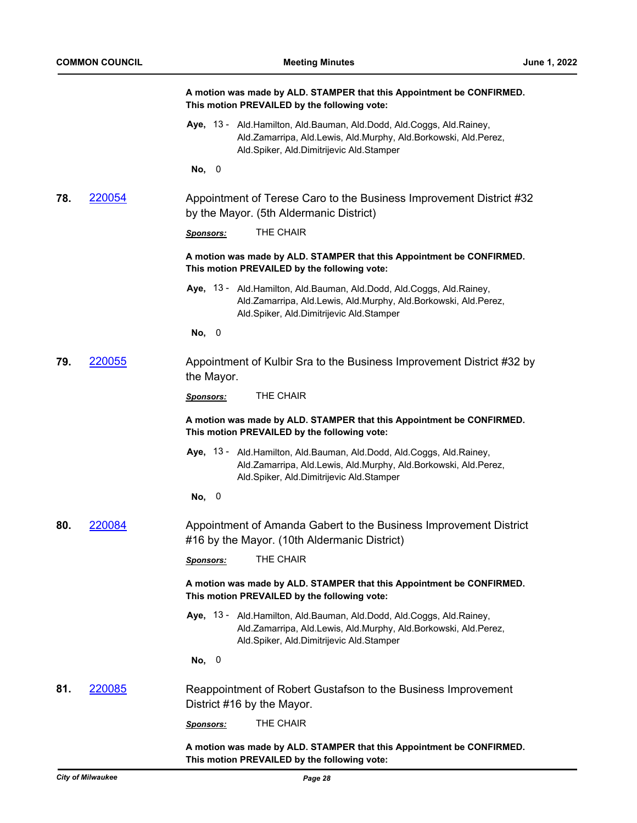|     |        | A motion was made by ALD. STAMPER that this Appointment be CONFIRMED.<br>This motion PREVAILED by the following vote:                                                                    |
|-----|--------|------------------------------------------------------------------------------------------------------------------------------------------------------------------------------------------|
|     |        | Aye, 13 - Ald. Hamilton, Ald. Bauman, Ald. Dodd, Ald. Coggs, Ald. Rainey,<br>Ald.Zamarripa, Ald.Lewis, Ald.Murphy, Ald.Borkowski, Ald.Perez,<br>Ald.Spiker, Ald.Dimitrijevic Ald.Stamper |
|     |        | No, 0                                                                                                                                                                                    |
| 78. | 220054 | Appointment of Terese Caro to the Business Improvement District #32<br>by the Mayor. (5th Aldermanic District)                                                                           |
|     |        | THE CHAIR<br>Sponsors:                                                                                                                                                                   |
|     |        | A motion was made by ALD. STAMPER that this Appointment be CONFIRMED.<br>This motion PREVAILED by the following vote:                                                                    |
|     |        | Aye, 13 - Ald.Hamilton, Ald.Bauman, Ald.Dodd, Ald.Coggs, Ald.Rainey,<br>Ald.Zamarripa, Ald.Lewis, Ald.Murphy, Ald.Borkowski, Ald.Perez,<br>Ald.Spiker, Ald.Dimitrijevic Ald.Stamper      |
|     |        | No,<br>$\overline{\phantom{0}}$                                                                                                                                                          |
| 79. | 220055 | Appointment of Kulbir Sra to the Business Improvement District #32 by<br>the Mayor.                                                                                                      |
|     |        | THE CHAIR<br><b>Sponsors:</b>                                                                                                                                                            |
|     |        | A motion was made by ALD. STAMPER that this Appointment be CONFIRMED.<br>This motion PREVAILED by the following vote:                                                                    |
|     |        | Aye, 13 - Ald. Hamilton, Ald. Bauman, Ald. Dodd, Ald. Coggs, Ald. Rainey,<br>Ald.Zamarripa, Ald.Lewis, Ald.Murphy, Ald.Borkowski, Ald.Perez,<br>Ald.Spiker, Ald.Dimitrijevic Ald.Stamper |
|     |        | No, 0                                                                                                                                                                                    |
| 80. | 220084 | Appointment of Amanda Gabert to the Business Improvement District<br>#16 by the Mayor. (10th Aldermanic District)                                                                        |
|     |        | THE CHAIR<br><u>Sponsors:</u>                                                                                                                                                            |
|     |        | A motion was made by ALD. STAMPER that this Appointment be CONFIRMED.<br>This motion PREVAILED by the following vote:                                                                    |
|     |        | Aye, 13 - Ald.Hamilton, Ald.Bauman, Ald.Dodd, Ald.Coggs, Ald.Rainey,<br>Ald.Zamarripa, Ald.Lewis, Ald.Murphy, Ald.Borkowski, Ald.Perez,<br>Ald.Spiker, Ald.Dimitrijevic Ald.Stamper      |
|     |        | No, 0                                                                                                                                                                                    |
| 81. | 220085 | Reappointment of Robert Gustafson to the Business Improvement<br>District #16 by the Mayor.                                                                                              |
|     |        | THE CHAIR<br><u>Sponsors:</u>                                                                                                                                                            |
|     |        | A motion was made by ALD. STAMPER that this Appointment be CONFIRMED.<br>This motion PREVAILED by the following vote:                                                                    |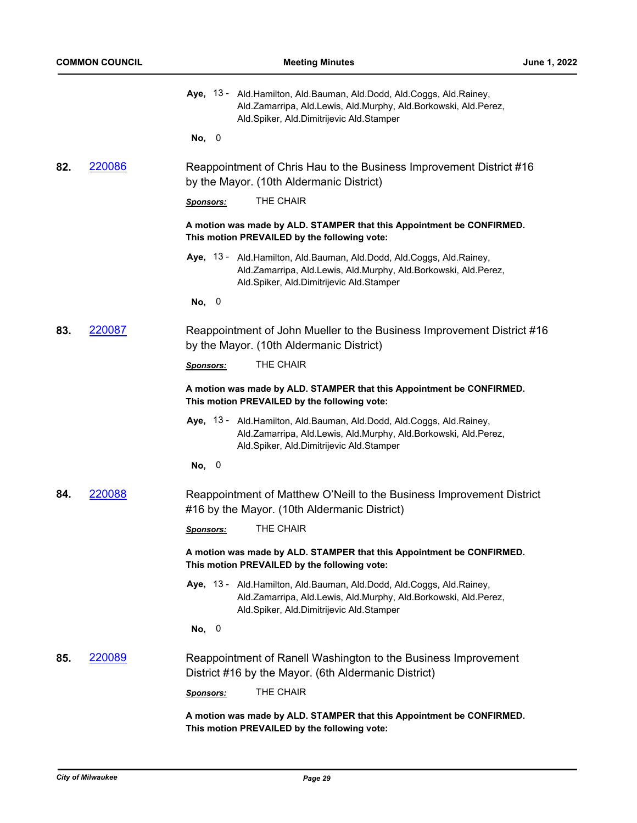|     |        | Aye, 13 - Ald.Hamilton, Ald.Bauman, Ald.Dodd, Ald.Coggs, Ald.Rainey,<br>Ald.Zamarripa, Ald.Lewis, Ald.Murphy, Ald.Borkowski, Ald.Perez,<br>Ald.Spiker, Ald.Dimitrijevic Ald.Stamper<br>No, 0 |
|-----|--------|----------------------------------------------------------------------------------------------------------------------------------------------------------------------------------------------|
| 82. | 220086 | Reappointment of Chris Hau to the Business Improvement District #16<br>by the Mayor. (10th Aldermanic District)                                                                              |
|     |        | THE CHAIR<br><b>Sponsors:</b>                                                                                                                                                                |
|     |        | A motion was made by ALD. STAMPER that this Appointment be CONFIRMED.<br>This motion PREVAILED by the following vote:                                                                        |
|     |        | Aye, 13 - Ald. Hamilton, Ald. Bauman, Ald. Dodd, Ald. Coggs, Ald. Rainey,<br>Ald.Zamarripa, Ald.Lewis, Ald.Murphy, Ald.Borkowski, Ald.Perez,<br>Ald.Spiker, Ald.Dimitrijevic Ald.Stamper     |
|     |        | No, 0                                                                                                                                                                                        |
| 83. | 220087 | Reappointment of John Mueller to the Business Improvement District #16<br>by the Mayor. (10th Aldermanic District)                                                                           |
|     |        | THE CHAIR<br><b>Sponsors:</b>                                                                                                                                                                |
|     |        | A motion was made by ALD. STAMPER that this Appointment be CONFIRMED.<br>This motion PREVAILED by the following vote:                                                                        |
|     |        | Aye, 13 - Ald. Hamilton, Ald. Bauman, Ald. Dodd, Ald. Coggs, Ald. Rainey,<br>Ald.Zamarripa, Ald.Lewis, Ald.Murphy, Ald.Borkowski, Ald.Perez,<br>Ald.Spiker, Ald.Dimitrijevic Ald.Stamper     |
|     |        | No, 0                                                                                                                                                                                        |
| 84. | 220088 | Reappointment of Matthew O'Neill to the Business Improvement District<br>#16 by the Mayor. (10th Aldermanic District)                                                                        |
|     |        | THE CHAIR<br><b>Sponsors:</b>                                                                                                                                                                |
|     |        | A motion was made by ALD. STAMPER that this Appointment be CONFIRMED.<br>This motion PREVAILED by the following vote:                                                                        |
|     |        | Aye, 13 - Ald. Hamilton, Ald. Bauman, Ald. Dodd, Ald. Coggs, Ald. Rainey,<br>Ald.Zamarripa, Ald.Lewis, Ald.Murphy, Ald.Borkowski, Ald.Perez,<br>Ald.Spiker, Ald.Dimitrijevic Ald.Stamper     |
|     |        | No, 0                                                                                                                                                                                        |
| 85. | 220089 | Reappointment of Ranell Washington to the Business Improvement<br>District #16 by the Mayor. (6th Aldermanic District)                                                                       |
|     |        | THE CHAIR<br>Sponsors:                                                                                                                                                                       |
|     |        | A motion was made by ALD. STAMPER that this Appointment be CONFIRMED.<br>This motion PREVAILED by the following vote:                                                                        |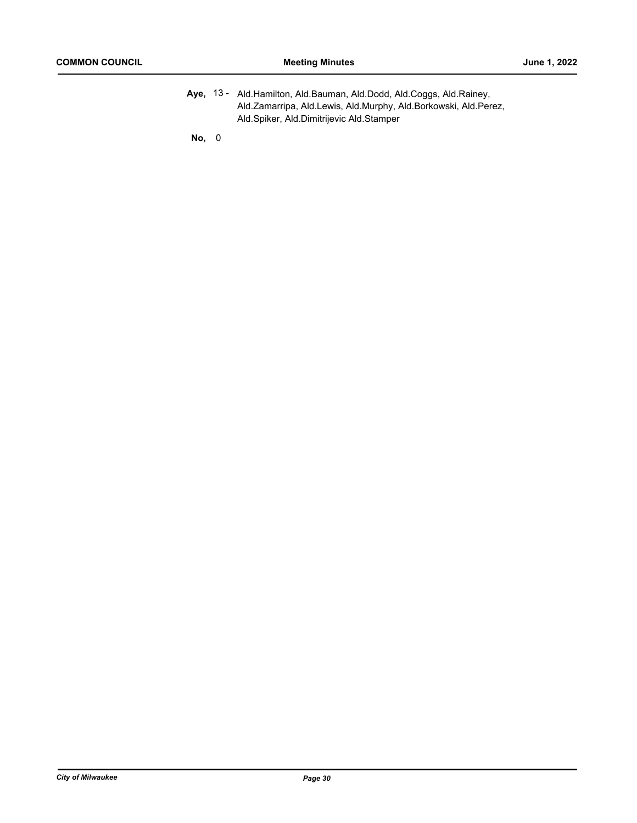Aye, 13 - Ald.Hamilton, Ald.Bauman, Ald.Dodd, Ald.Coggs, Ald.Rainey, Ald.Zamarripa, Ald.Lewis, Ald.Murphy, Ald.Borkowski, Ald.Perez, Ald.Spiker, Ald.Dimitrijevic Ald.Stamper

**No,** 0